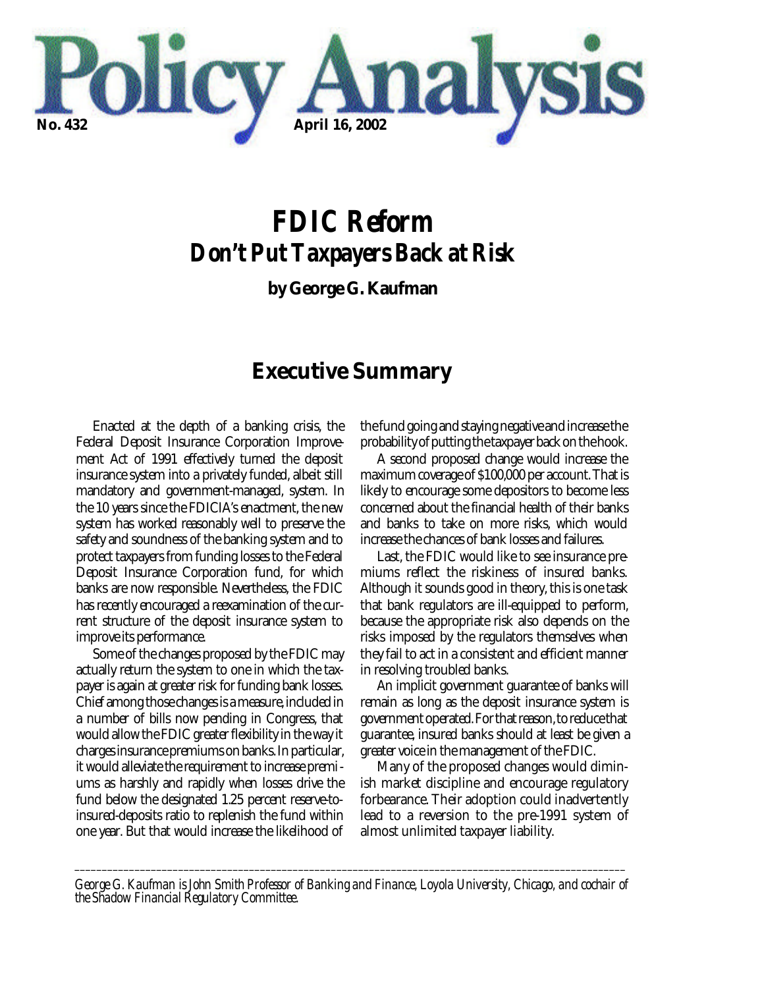

# *FDIC Reform Don't Put Taxpayers Back at Risk*

**by George G. Kaufman**

## **Executive Summary**

Enacted at the depth of a banking crisis, the Federal Deposit Insurance Corporation Improvement Act of 1991 effectively turned the deposit insurance system into a privately funded, albeit still mandatory and government-managed, system. In the 10 years since the FDICIA's enactment, the new system has worked reasonably well to preserve the safety and soundness of the banking system and to protect taxpayers from funding losses to the Federal Deposit Insurance Corporation fund, for which banks are now responsible. Nevertheless, the FDIC has recently encouraged a reexamination of the current structure of the deposit insurance system to improve its performance.

Some of the changes proposed by the FDIC may actually return the system to one in which the taxpayer is again at greater risk for funding bank losses. Chief among those changes is a measure, included in a number of bills now pending in Congress, that would allow the FDIC greater flexibility in the way it charges insurance premiums on banks. In particular, it would alleviate the requirement to increase premiums as harshly and rapidly when losses drive the fund below the designated 1.25 percent reserve-toinsured-deposits ratio to replenish the fund within one year. But that would increase the likelihood of the fund going and staying negative and increase the probability of putting the taxpayer back on the hook.

A second proposed change would increase the maximum coverage of \$100,000 per account. That is likely to encourage some depositors to become less concerned about the financial health of their banks and banks to take on more risks, which would increase the chances of bank losses and failures.

Last, the FDIC would like to see insurance premiums reflect the riskiness of insured banks. Although it sounds good in theory, this is one task that bank regulators are ill-equipped to perform, because the appropriate risk also depends on the risks imposed by the regulators themselves when they fail to act in a consistent and efficient manner in resolving troubled banks.

An implicit government guarantee of banks will remain as long as the deposit insurance system is government operated. For that reason, to reduce that guarantee, insured banks should at least be given a greater voice in the management of the FDIC.

Many of the proposed changes would diminish market discipline and encourage regulatory forbearance. Their adoption could inadvertently lead to a reversion to the pre-1991 system of almost unlimited taxpayer liability.

*George G. Kaufman is John Smith Professor of Banking and Finance, Loyola University, Chicago, and cochair of the Shadow Financial Regulatory Committee.* 

*\_\_\_\_\_\_\_\_\_\_\_\_\_\_\_\_\_\_\_\_\_\_\_\_\_\_\_\_\_\_\_\_\_\_\_\_\_\_\_\_\_\_\_\_\_\_\_\_\_\_\_\_\_\_\_\_\_\_\_\_\_\_\_\_\_\_\_\_\_\_\_\_\_\_\_\_\_\_\_\_\_\_\_\_\_\_\_\_\_\_\_\_\_\_\_\_\_\_\_\_\_*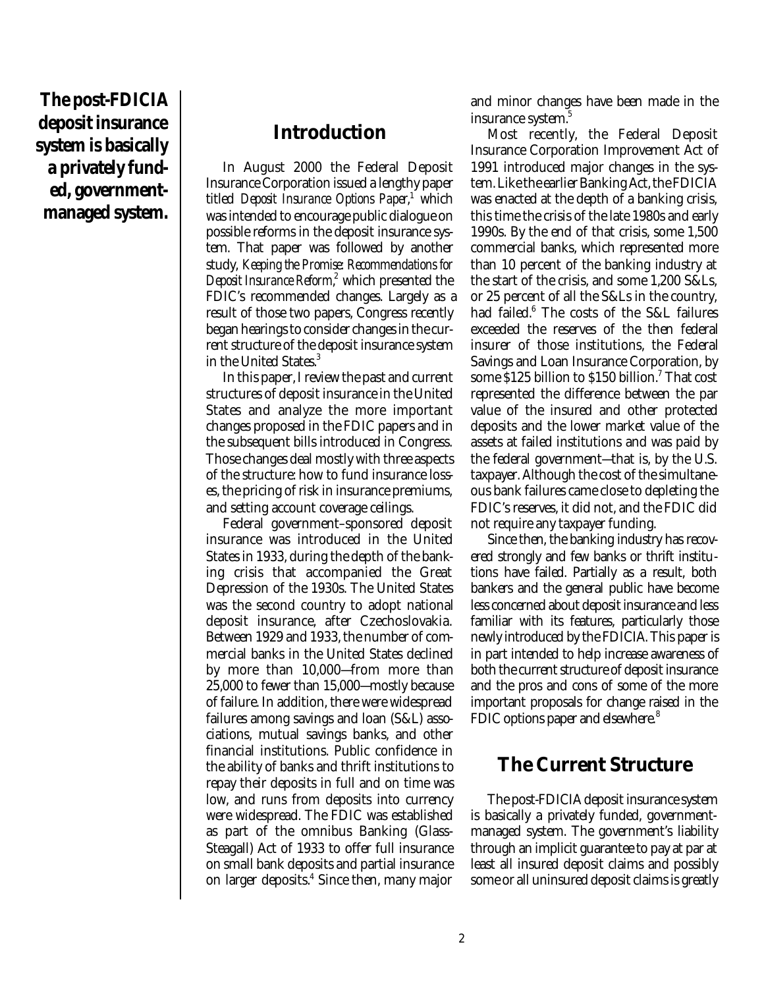**The post-FDICIA deposit insurance system is basically a privately funded, governmentmanaged system.**

### **Introduction**

In August 2000 the Federal Deposit Insurance Corporation issued a lengthy paper titled *Deposit Insurance Options Paper*, <sup>1</sup> which was intended to encourage public dialogue on possible reforms in the deposit insurance system. That paper was followed by another study, *Keeping the Promise: Recommendations for Deposit Insurance Reform*, <sup>2</sup> which presented the FDIC's recommended changes. Largely as a result of those two papers, Congress recently began hearings to consider changes in the current structure of the deposit insurance system in the United States.<sup>3</sup>

In this paper, I review the past and current structures of deposit insurance in the United States and analyze the more important changes proposed in the FDIC papers and in the subsequent bills introduced in Congress. Those changes deal mostly with three aspects of the structure: how to fund insurance losses, the pricing of risk in insurance premiums, and setting account coverage ceilings.

Federal government–sponsored deposit insurance was introduced in the United States in 1933, during the depth of the banking crisis that accompanied the Great Depression of the 1930s. The United States was the second country to adopt national deposit insurance, after Czechoslovakia. Between 1929 and 1933, the number of commercial banks in the United States declined by more than 10,000—from more than 25,000 to fewer than 15,000—mostly because of failure. In addition, there were widespread failures among savings and loan (S&L) associations, mutual savings banks, and other financial institutions. Public confidence in the ability of banks and thrift institutions to repay their deposits in full and on time was low, and runs from deposits into currency were widespread. The FDIC was established as part of the omnibus Banking (Glass-Steagall) Act of 1933 to offer full insurance on small bank deposits and partial insurance on larger deposits.<sup>4</sup> Since then, many major

and minor changes have been made in the insurance system.<sup>5</sup>

Most recently, the Federal Deposit Insurance Corporation Improvement Act of 1991 introduced major changes in the system. Like the earlier Banking Act, the FDICIA was enacted at the depth of a banking crisis, this time the crisis of the late 1980s and early 1990s. By the end of that crisis, some 1,500 commercial banks, which represented more than 10 percent of the banking industry at the start of the crisis, and some 1,200 S&Ls, or 25 percent of all the S&Ls in the country, had failed.<sup>6</sup> The costs of the S&L failures exceeded the reserves of the then federal insurer of those institutions, the Federal Savings and Loan Insurance Corporation, by some  $$125$  billion to  $$150$  billion.<sup>7</sup> That cost represented the difference between the par value of the insured and other protected deposits and the lower market value of the assets at failed institutions and was paid by the federal government—that is, by the U.S. taxpayer. Although the cost of the simultaneous bank failures came close to depleting the FDIC's reserves, it did not, and the FDIC did not require any taxpayer funding.

Since then, the banking industry has recovered strongly and few banks or thrift institutions have failed. Partially as a result, both bankers and the general public have become less concerned about deposit insurance and less familiar with its features, particularly those newly introduced by the FDICIA. This paper is in part intended to help increase awareness of both the current structure of deposit insurance and the pros and cons of some of the more important proposals for change raised in the FDIC options paper and elsewhere.<sup>8</sup>

### **The Current Structure**

The post-FDICIA deposit insurance system is basically a privately funded, governmentmanaged system. The government's liability through an implicit guarantee to pay at par at least all insured deposit claims and possibly some or all uninsured deposit claims is greatly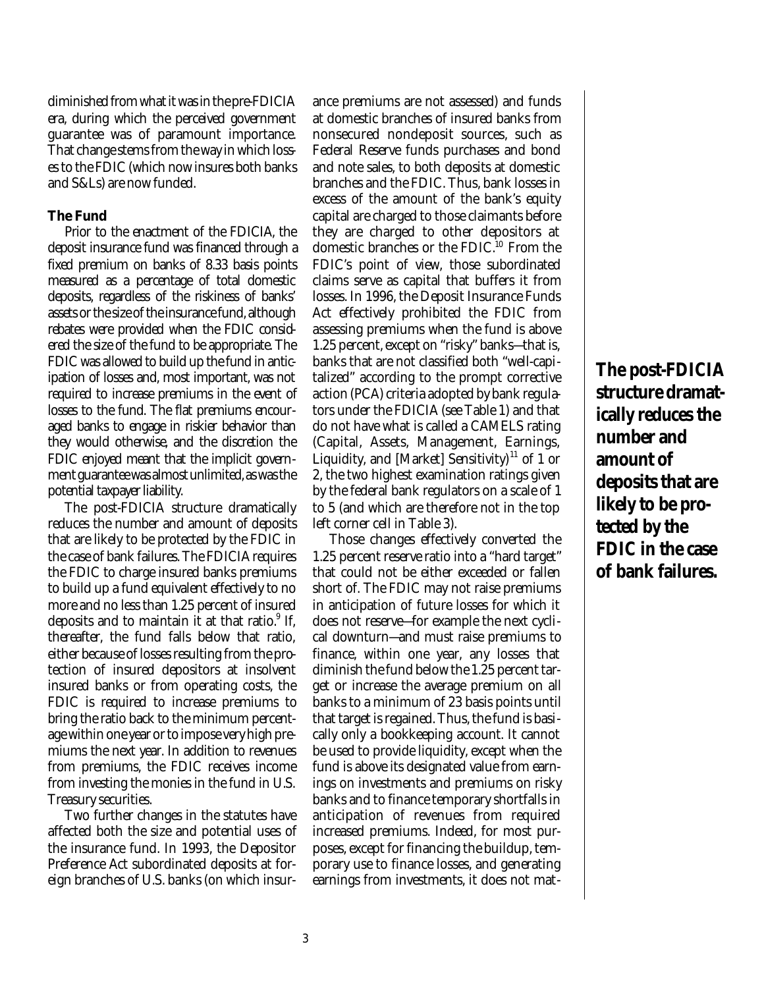diminished from what it was in the pre-FDICIA era, during which the perceived government guarantee was of paramount importance. That change stems from the way in which losses to the FDIC (which now insures both banks and S&Ls) are now funded.

### **The Fund**

Prior to the enactment of the FDICIA, the deposit insurance fund was financed through a fixed premium on banks of 8.33 basis points measured as a percentage of total domestic deposits, regardless of the riskiness of banks' assets or the size of the insurance fund, although rebates were provided when the FDIC considered the size of the fund to be appropriate. The FDIC was allowed to build up the fund in anticipation of losses and, most important, was not required to increase premiums in the event of losses to the fund. The flat premiums encouraged banks to engage in riskier behavior than they would otherwise, and the discretion the FDIC enjoyed meant that the implicit government guarantee was almost unlimited, as was the potential taxpayer liability.

The post-FDICIA structure dramatically reduces the number and amount of deposits that are likely to be protected by the FDIC in the case of bank failures. The FDICIA requires the FDIC to charge insured banks premiums to build up a fund equivalent effectively to no more and no less than 1.25 percent of insured deposits and to maintain it at that ratio.<sup>9</sup> If, thereafter, the fund falls below that ratio, either because of losses resulting from the protection of insured depositors at insolvent insured banks or from operating costs, the FDIC is required to increase premiums to bring the ratio back to the minimum percentage within one year or to impose very high premiums the next year. In addition to revenues from premiums, the FDIC receives income from investing the monies in the fund in U.S. Treasury securities.

Two further changes in the statutes have affected both the size and potential uses of the insurance fund. In 1993, the Depositor Preference Act subordinated deposits at foreign branches of U.S. banks (on which insurance premiums are not assessed) and funds at domestic branches of insured banks from nonsecured nondeposit sources, such as Federal Reserve funds purchases and bond and note sales, to both deposits at domestic branches and the FDIC. Thus, bank losses in excess of the amount of the bank's equity capital are charged to those claimants before they are charged to other depositors at domestic branches or the FDIC.<sup>10</sup> From the FDIC's point of view, those subordinated claims serve as capital that buffers it from losses. In 1996, the Deposit Insurance Funds Act effectively prohibited the FDIC from assessing premiums when the fund is above 1.25 percent, except on "risky" banks—that is, banks that are not classified both "well-capitalized" according to the prompt corrective action (PCA) criteria adopted by bank regulators under the FDICIA (see Table 1) and that do not have what is called a CAMELS rating (Capital, Assets, Management, Earnings, Liquidity, and [Market] Sensitivity)<sup>11</sup> of 1 or 2, the two highest examination ratings given by the federal bank regulators on a scale of 1 to 5 (and which are therefore not in the top left corner cell in Table 3).

Those changes effectively converted the 1.25 percent reserve ratio into a "hard target" that could not be either exceeded or fallen short of. The FDIC may not raise premiums in anticipation of future losses for which it does not reserve—for example the next cyclical downturn—and must raise premiums to finance, within one year, any losses that diminish the fund below the 1.25 percent target or increase the average premium on all banks to a minimum of 23 basis points until that target is regained. Thus, the fund is basically only a bookkeeping account. It cannot be used to provide liquidity, except when the fund is above its designated value from earnings on investments and premiums on risky banks and to finance temporary shortfalls in anticipation of revenues from required increased premiums. Indeed, for most purposes, except for financing the buildup, temporary use to finance losses, and generating earnings from investments, it does not mat**The post-FDICIA structure dramatically reduces the number and amount of deposits that are likely to be protected by the FDIC in the case of bank failures.**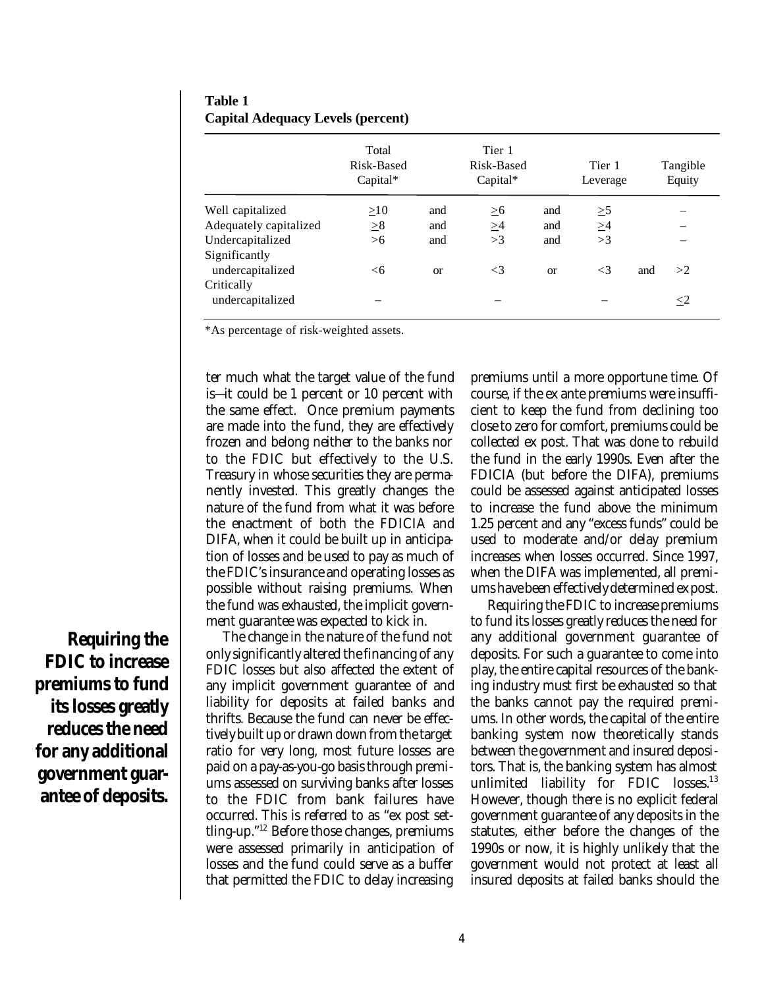|                                   | Total<br>Risk-Based<br>Capital* |     | Tier 1<br>Risk-Based<br>$Capital*$ | Tier 1<br>Leverage |          | Tangible<br>Equity |          |
|-----------------------------------|---------------------------------|-----|------------------------------------|--------------------|----------|--------------------|----------|
| Well capitalized                  | >10                             | and | >6                                 | and                | $\geq 5$ |                    |          |
| Adequately capitalized            | $\geq 8$                        | and | >4                                 | and                | >4       |                    |          |
| Undercapitalized<br>Significantly | >6                              | and | >3                                 | and                | >3       |                    |          |
| undercapitalized                  | <6                              | or  | $\leq$ 3                           | <sub>or</sub>      | $\leq$ 3 | and                | >2       |
| Critically<br>undercapitalized    |                                 |     |                                    |                    |          |                    | $\leq$ 2 |

**Table 1 Capital Adequacy Levels (percent)**

\*As percentage of risk-weighted assets.

ter much what the target value of the fund is—it could be 1 percent or 10 percent with the same effect. Once premium payments are made into the fund, they are effectively frozen and belong neither to the banks nor to the FDIC but effectively to the U.S. Treasury in whose securities they are permanently invested. This greatly changes the nature of the fund from what it was before the enactment of both the FDICIA and DIFA, when it could be built up in anticipation of losses and be used to pay as much of the FDIC's insurance and operating losses as possible without raising premiums. When the fund was exhausted, the implicit government guarantee was expected to kick in.

The change in the nature of the fund not only significantly altered the financing of any FDIC losses but also affected the extent of any implicit government guarantee of and liability for deposits at failed banks and thrifts. Because the fund can never be effectively built up or drawn down from the target ratio for very long, most future losses are paid on a pay-as-you-go basis through premiums assessed on surviving banks after losses to the FDIC from bank failures have occurred. This is referred to as "ex post settling-up."<sup>12</sup> Before those changes, premiums were assessed primarily in anticipation of losses and the fund could serve as a buffer that permitted the FDIC to delay increasing

premiums until a more opportune time. Of course, if the ex ante premiums were insufficient to keep the fund from declining too close to zero for comfort, premiums could be collected ex post. That was done to rebuild the fund in the early 1990s. Even after the FDICIA (but before the DIFA), premiums could be assessed against anticipated losses to increase the fund above the minimum 1.25 percent and any "excess funds" could be used to moderate and/or delay premium increases when losses occurred. Since 1997, when the DIFA was implemented, all premiums have been effectively determined ex post.

Requiring the FDIC to increase premiums to fund its losses greatly reduces the need for any additional government guarantee of deposits. For such a guarantee to come into play, the entire capital resources of the banking industry must first be exhausted so that the banks cannot pay the required premiums. In other words, the capital of the entire banking system now theoretically stands between the government and insured depositors. That is, the banking system has almost unlimited liability for FDIC losses.<sup>13</sup> However, though there is no explicit federal government guarantee of any deposits in the statutes, either before the changes of the 1990s or now, it is highly unlikely that the government would not protect at least all insured deposits at failed banks should the

**Requiring the FDIC to increase premiums to fund its losses greatly reduces the need for any additional government guarantee of deposits.**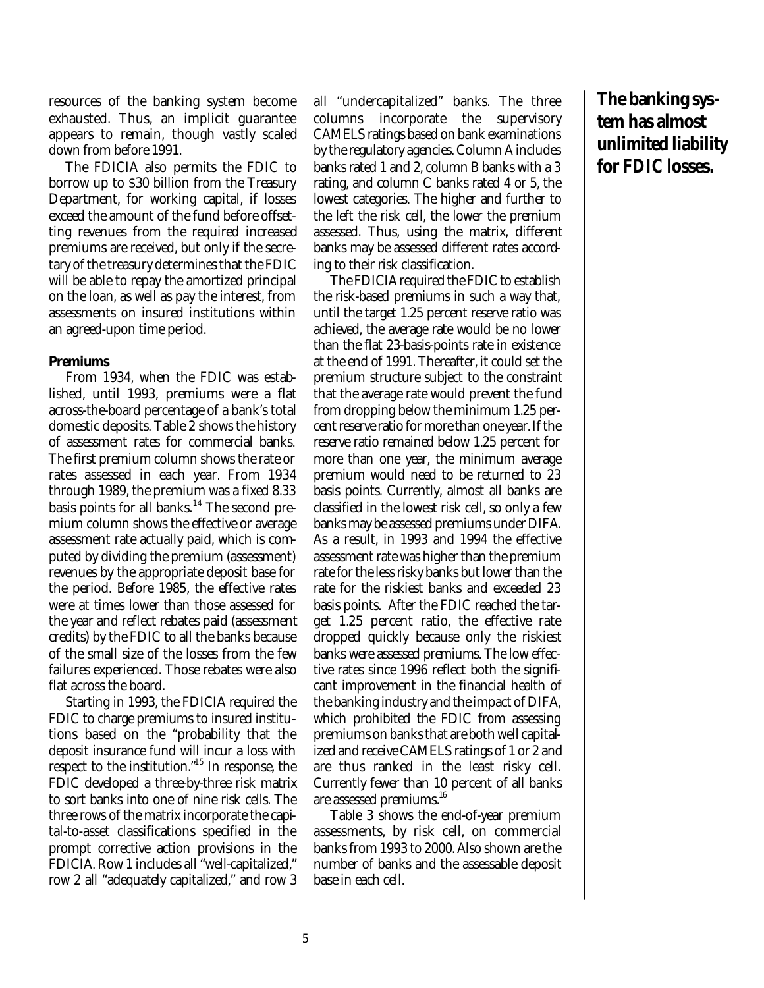resources of the banking system become exhausted. Thus, an implicit guarantee appears to remain, though vastly scaled down from before 1991.

The FDICIA also permits the FDIC to borrow up to \$30 billion from the Treasury Department, for working capital, if losses exceed the amount of the fund before offsetting revenues from the required increased premiums are received, but only if the secretary of the treasury determines that the FDIC will be able to repay the amortized principal on the loan, as well as pay the interest, from assessments on insured institutions within an agreed-upon time period.

#### **Premiums**

From 1934, when the FDIC was established, until 1993, premiums were a flat across-the-board percentage of a bank's total domestic deposits. Table 2 shows the history of assessment rates for commercial banks. The first premium column shows the rate or rates assessed in each year. From 1934 through 1989, the premium was a fixed 8.33 basis points for all banks. $14$  The second premium column shows the effective or average assessment rate actually paid, which is computed by dividing the premium (assessment) revenues by the appropriate deposit base for the period. Before 1985, the effective rates were at times lower than those assessed for the year and reflect rebates paid (assessment credits) by the FDIC to all the banks because of the small size of the losses from the few failures experienced. Those rebates were also flat across the board.

Starting in 1993, the FDICIA required the FDIC to charge premiums to insured institutions based on the "probability that the deposit insurance fund will incur a loss with respect to the institution."<sup>15</sup> In response, the FDIC developed a three-by-three risk matrix to sort banks into one of nine risk cells. The three rows of the matrix incorporate the capital-to-asset classifications specified in the prompt corrective action provisions in the FDICIA. Row 1 includes all "well-capitalized," row 2 all "adequately capitalized," and row 3 all "undercapitalized" banks. The three columns incorporate the supervisory CAMELS ratings based on bank examinations by the regulatory agencies. Column A includes banks rated 1 and 2, column B banks with a 3 rating, and column C banks rated 4 or 5, the lowest categories. The higher and further to the left the risk cell, the lower the premium assessed. Thus, using the matrix, different banks may be assessed different rates according to their risk classification.

The FDICIA required the FDIC to establish the risk-based premiums in such a way that, until the target 1.25 percent reserve ratio was achieved, the average rate would be no lower than the flat 23-basis-points rate in existence at the end of 1991. Thereafter, it could set the premium structure subject to the constraint that the average rate would prevent the fund from dropping below the minimum 1.25 percent reserve ratio for more than one year. If the reserve ratio remained below 1.25 percent for more than one year, the minimum average premium would need to be returned to 23 basis points. Currently, almost all banks are classified in the lowest risk cell, so only a few banks may be assessed premiums under DIFA. As a result, in 1993 and 1994 the effective assessment rate was higher than the premium rate for the less risky banks but lower than the rate for the riskiest banks and exceeded 23 basis points. After the FDIC reached the target 1.25 percent ratio, the effective rate dropped quickly because only the riskiest banks were assessed premiums. The low effective rates since 1996 reflect both the significant improvement in the financial health of the banking industry and the impact of DIFA, which prohibited the FDIC from assessing premiums on banks that are both well capitalized and receive CAMELS ratings of 1 or 2 and are thus ranked in the least risky cell. Currently fewer than 10 percent of all banks are assessed premiums.<sup>16</sup>

Table 3 shows the end-of-year premium assessments, by risk cell, on commercial banks from 1993 to 2000. Also shown are the number of banks and the assessable deposit base in each cell.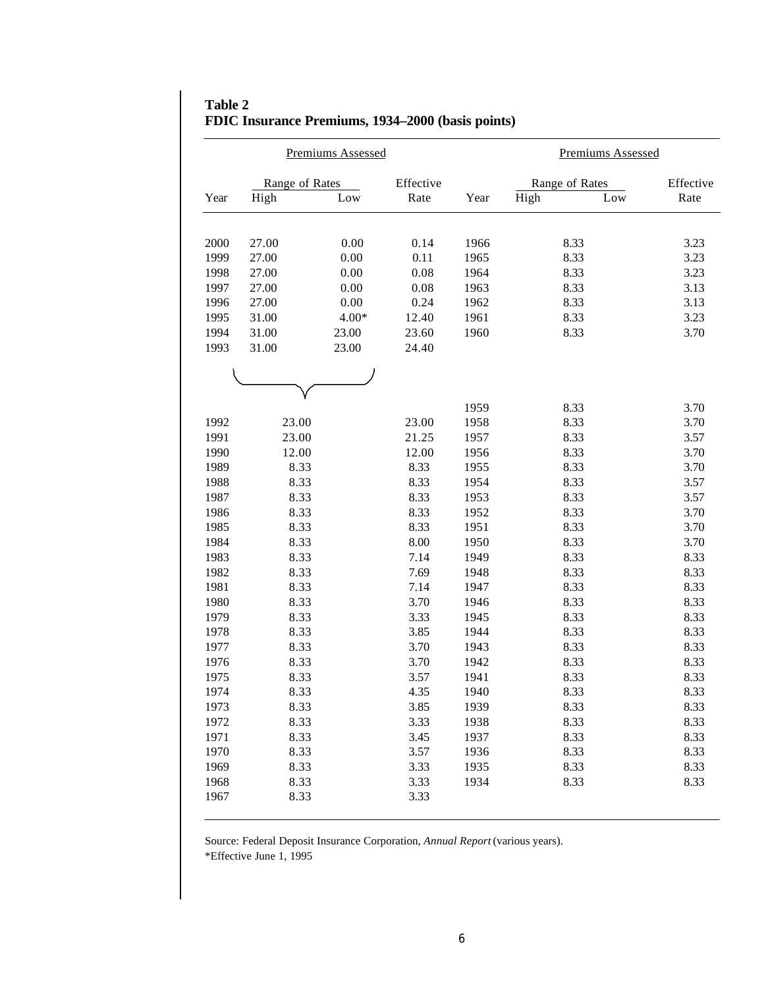| <b>Premiums Assessed</b> |                |         |           | <b>Premiums Assessed</b> |                |     |           |
|--------------------------|----------------|---------|-----------|--------------------------|----------------|-----|-----------|
|                          | Range of Rates |         | Effective |                          | Range of Rates |     | Effective |
| Year                     | High           | Low     | Rate      | Year                     | High           | Low | Rate      |
|                          |                |         |           |                          |                |     |           |
| 2000                     | 27.00          | 0.00    | 0.14      | 1966                     | 8.33           |     | 3.23      |
| 1999                     | 27.00          | 0.00    | 0.11      | 1965                     | 8.33           |     | 3.23      |
| 1998                     | 27.00          | 0.00    | 0.08      | 1964                     | 8.33           |     | 3.23      |
| 1997                     | 27.00          | 0.00    | 0.08      | 1963                     | 8.33           |     | 3.13      |
| 1996                     | 27.00          | 0.00    | 0.24      | 1962                     | 8.33           |     | 3.13      |
| 1995                     | 31.00          | $4.00*$ | 12.40     | 1961                     | 8.33           |     | 3.23      |
| 1994                     | 31.00          | 23.00   | 23.60     | 1960                     | 8.33           |     | 3.70      |
| 1993                     | 31.00          | 23.00   | 24.40     |                          |                |     |           |
|                          |                |         |           |                          |                |     |           |
|                          |                |         |           |                          |                |     |           |
|                          |                |         |           | 1959                     | 8.33           |     | 3.70      |
| 1992                     | 23.00          |         | 23.00     | 1958                     | 8.33           |     | 3.70      |
| 1991                     | 23.00          |         | 21.25     | 1957                     | 8.33           |     | 3.57      |
| 1990                     | 12.00          |         | 12.00     | 1956                     | 8.33           |     | 3.70      |
| 1989                     | 8.33           |         | 8.33      | 1955                     | 8.33           |     | 3.70      |
| 1988                     | 8.33           |         | 8.33      | 1954                     | 8.33           |     | 3.57      |
| 1987                     | 8.33           |         | 8.33      | 1953                     | 8.33           |     | 3.57      |
| 1986                     | 8.33           |         | 8.33      | 1952                     | 8.33           |     | 3.70      |
| 1985                     | 8.33           |         | 8.33      | 1951                     | 8.33           |     | 3.70      |
| 1984                     | 8.33           |         | 8.00      | 1950                     | 8.33           |     | 3.70      |
| 1983                     | 8.33           |         | 7.14      | 1949                     | 8.33           |     | 8.33      |
| 1982                     | 8.33           |         | 7.69      | 1948                     | 8.33           |     | 8.33      |
| 1981                     | 8.33           |         | 7.14      | 1947                     | 8.33           |     | 8.33      |
| 1980                     | 8.33           |         | 3.70      | 1946                     | 8.33           |     | 8.33      |
| 1979                     | 8.33           |         | 3.33      | 1945                     | 8.33           |     | 8.33      |
| 1978                     | 8.33           |         | 3.85      | 1944                     | 8.33           |     | 8.33      |
| 1977                     | 8.33           |         | 3.70      | 1943                     | 8.33           |     | 8.33      |
| 1976                     | 8.33           |         | 3.70      | 1942                     | 8.33           |     | 8.33      |
| 1975                     | 8.33           |         | 3.57      | 1941                     | 8.33           |     | 8.33      |
| 1974                     | 8.33           |         | 4.35      | 1940                     | 8.33           |     | 8.33      |
| 1973                     | 8.33           |         | 3.85      | 1939                     | 8.33           |     | 8.33      |
| 1972                     | 8.33           |         | 3.33      | 1938                     | 8.33           |     | 8.33      |
| 1971                     | 8.33           |         | 3.45      | 1937                     | 8.33           |     | 8.33      |
| 1970                     | 8.33           |         | 3.57      | 1936                     | 8.33           |     | 8.33      |
| 1969                     | 8.33           |         | 3.33      | 1935                     | 8.33           |     | 8.33      |
| 1968                     | 8.33           |         | 3.33      | 1934                     | 8.33           |     | 8.33      |
| 1967                     | 8.33           |         | 3.33      |                          |                |     |           |

### **Table 2 FDIC Insurance Premiums, 1934–2000 (basis points)**

Source: Federal Deposit Insurance Corporation, *Annual Report* (various years). \*Effective June 1, 1995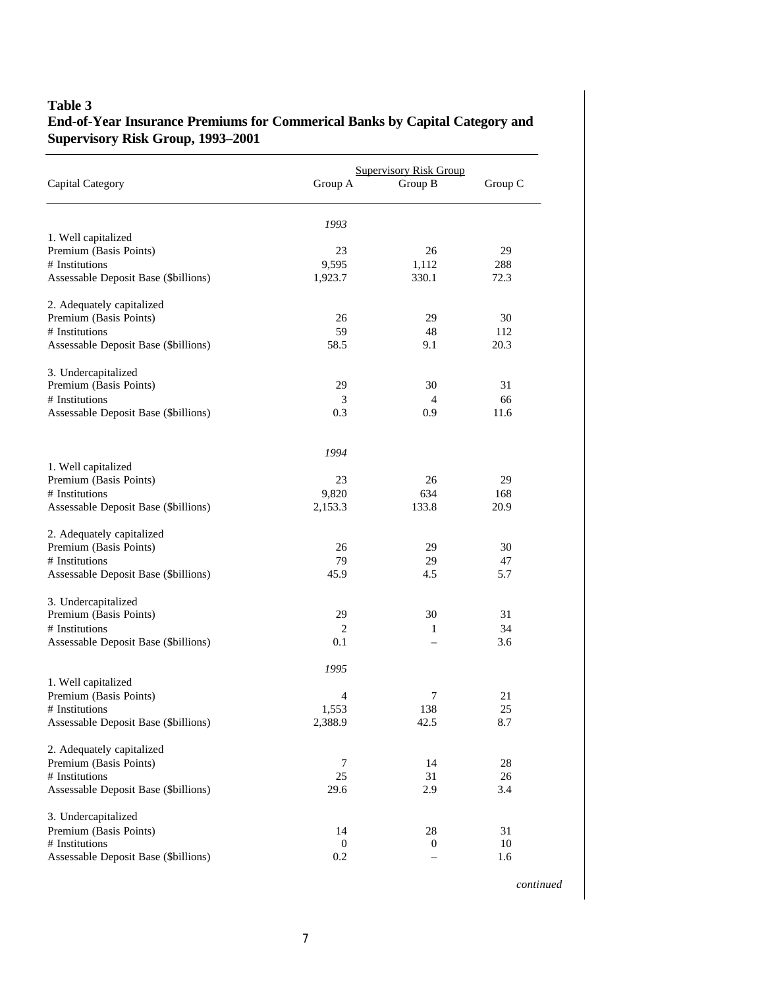### **Table 3 End-of-Year Insurance Premiums for Commerical Banks by Capital Category and Supervisory Risk Group, 1993–2001**

|                                      |                  | <b>Supervisory Risk Group</b> |         |  |
|--------------------------------------|------------------|-------------------------------|---------|--|
| Capital Category                     | Group A          | Group B                       | Group C |  |
|                                      | 1993             |                               |         |  |
| 1. Well capitalized                  |                  |                               |         |  |
| Premium (Basis Points)               | 23               | 26                            | 29      |  |
| # Institutions                       | 9,595            | 1,112                         | 288     |  |
| Assessable Deposit Base (\$billions) | 1,923.7          | 330.1                         | 72.3    |  |
| 2. Adequately capitalized            |                  |                               |         |  |
| Premium (Basis Points)               | 26               | 29                            | 30      |  |
| # Institutions                       | 59               | 48                            | 112     |  |
| Assessable Deposit Base (\$billions) | 58.5             | 9.1                           | 20.3    |  |
| 3. Undercapitalized                  |                  |                               |         |  |
| Premium (Basis Points)               | 29               | 30                            | 31      |  |
| # Institutions                       | 3                | 4                             | 66      |  |
| Assessable Deposit Base (\$billions) | 0.3              | 0.9                           | 11.6    |  |
|                                      | 1994             |                               |         |  |
| 1. Well capitalized                  |                  |                               |         |  |
| Premium (Basis Points)               | 23               | 26                            | 29      |  |
| # Institutions                       | 9,820            | 634                           | 168     |  |
| Assessable Deposit Base (\$billions) | 2,153.3          | 133.8                         | 20.9    |  |
| 2. Adequately capitalized            |                  |                               |         |  |
| Premium (Basis Points)               | 26               | 29                            | 30      |  |
| # Institutions                       | 79               | 29                            | 47      |  |
| Assessable Deposit Base (\$billions) | 45.9             | 4.5                           | 5.7     |  |
| 3. Undercapitalized                  |                  |                               |         |  |
| Premium (Basis Points)               | 29               | 30                            | 31      |  |
| # Institutions                       | 2                | 1                             | 34      |  |
| Assessable Deposit Base (\$billions) | 0.1              |                               | 3.6     |  |
| 1. Well capitalized                  | 1995             |                               |         |  |
| Premium (Basis Points)               | 4                | 7                             | 21      |  |
| # Institutions                       | 1,553            | 138                           | 25      |  |
| Assessable Deposit Base (\$billions) | 2,388.9          | 42.5                          | 8.7     |  |
| 2. Adequately capitalized            |                  |                               |         |  |
| Premium (Basis Points)               | 7                | 14                            | 28      |  |
| # Institutions                       | 25               | 31                            | 26      |  |
| Assessable Deposit Base (\$billions) | 29.6             | 2.9                           | 3.4     |  |
| 3. Undercapitalized                  |                  |                               |         |  |
| Premium (Basis Points)               | 14               | 28                            | 31      |  |
| # Institutions                       | $\boldsymbol{0}$ | $\boldsymbol{0}$              | 10      |  |
| Assessable Deposit Base (\$billions) | $0.2\,$          |                               | 1.6     |  |

*continued*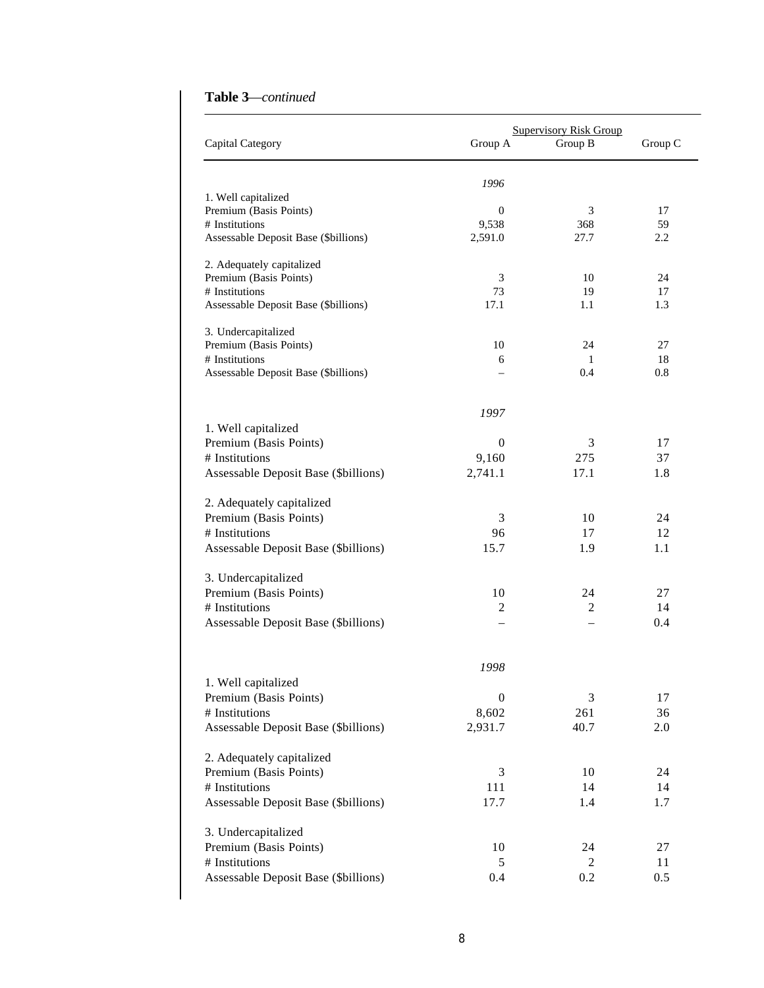| Capital Category                                                                                              | Group A                            | <b>Supervisory Risk Group</b><br>Group B | Group C         |
|---------------------------------------------------------------------------------------------------------------|------------------------------------|------------------------------------------|-----------------|
|                                                                                                               | 1996                               |                                          |                 |
| 1. Well capitalized<br>Premium (Basis Points)<br># Institutions<br>Assessable Deposit Base (\$billions)       | $\mathbf{0}$<br>9,538<br>2,591.0   | 3<br>368<br>27.7                         | 17<br>59<br>2.2 |
| 2. Adequately capitalized<br>Premium (Basis Points)<br># Institutions<br>Assessable Deposit Base (\$billions) | 3<br>73<br>17.1                    | 10<br>19<br>1.1                          | 24<br>17<br>1.3 |
| 3. Undercapitalized<br>Premium (Basis Points)<br># Institutions<br>Assessable Deposit Base (\$billions)       | 10<br>6                            | 24<br>1<br>0.4                           | 27<br>18<br>0.8 |
|                                                                                                               | 1997                               |                                          |                 |
| 1. Well capitalized<br>Premium (Basis Points)<br># Institutions<br>Assessable Deposit Base (\$billions)       | $\overline{0}$<br>9,160<br>2,741.1 | 3<br>275<br>17.1                         | 17<br>37<br>1.8 |
| 2. Adequately capitalized<br>Premium (Basis Points)<br># Institutions<br>Assessable Deposit Base (\$billions) | 3<br>96<br>15.7                    | 10<br>17<br>1.9                          | 24<br>12<br>1.1 |
| 3. Undercapitalized<br>Premium (Basis Points)<br># Institutions<br>Assessable Deposit Base (\$billions)       | 10<br>$\overline{c}$               | 24<br>$\overline{c}$                     | 27<br>14<br>0.4 |
| 1. Well capitalized<br>Premium (Basis Points)                                                                 | 1998<br>$\overline{0}$             | 3                                        | 17              |
| # Institutions<br>Assessable Deposit Base (\$billions)                                                        | 8,602<br>2,931.7                   | 261<br>40.7                              | 36<br>2.0       |
| 2. Adequately capitalized<br>Premium (Basis Points)<br># Institutions<br>Assessable Deposit Base (\$billions) | 3<br>111<br>17.7                   | 10<br>14<br>1.4                          | 24<br>14<br>1.7 |
| 3. Undercapitalized<br>Premium (Basis Points)<br># Institutions<br>Assessable Deposit Base (\$billions)       | 10<br>5<br>0.4                     | 24<br>2<br>0.2                           | 27<br>11<br>0.5 |

### **Table 3**—*continued*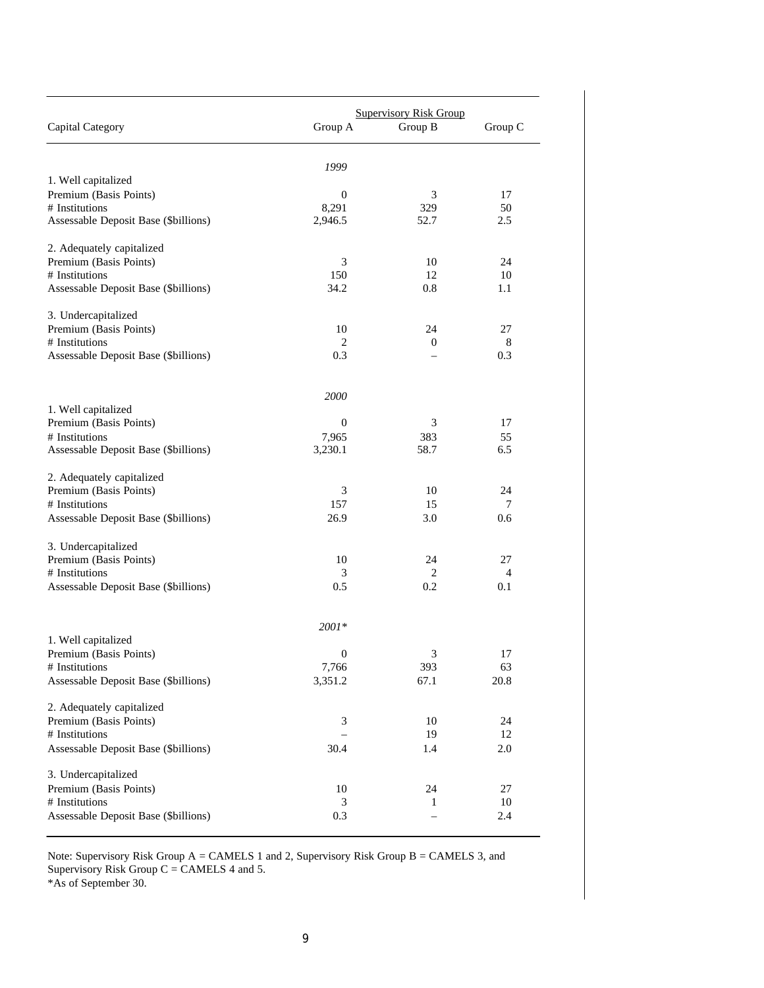| Capital Category                     | <b>Supervisory Risk Group</b><br>Group A | Group C |                |
|--------------------------------------|------------------------------------------|---------|----------------|
|                                      | 1999                                     |         |                |
| 1. Well capitalized                  |                                          |         |                |
| Premium (Basis Points)               | 0                                        | 3       | 17             |
| # Institutions                       | 8,291                                    | 329     | 50             |
| Assessable Deposit Base (\$billions) | 2,946.5                                  | 52.7    | 2.5            |
| 2. Adequately capitalized            |                                          |         |                |
| Premium (Basis Points)               | 3                                        | 10      | 24             |
| # Institutions                       | 150                                      | 12      | 10             |
| Assessable Deposit Base (\$billions) | 34.2                                     | 0.8     | 1.1            |
| 3. Undercapitalized                  |                                          |         |                |
| Premium (Basis Points)               | 10                                       | 24      | 27             |
| # Institutions                       | 2                                        | 0       | 8              |
| Assessable Deposit Base (\$billions) | 0.3                                      |         | 0.3            |
|                                      |                                          |         |                |
| 1. Well capitalized                  | 2000                                     |         |                |
| Premium (Basis Points)               | $\mathbf{0}$                             | 3       | 17             |
| # Institutions                       | 7,965                                    | 383     | 55             |
| Assessable Deposit Base (\$billions) | 3,230.1                                  | 58.7    | 6.5            |
| 2. Adequately capitalized            |                                          |         |                |
| Premium (Basis Points)               | 3                                        | 10      | 24             |
| # Institutions                       | 157                                      | 15      | 7              |
| Assessable Deposit Base (\$billions) | 26.9                                     | 3.0     | 0.6            |
| 3. Undercapitalized                  |                                          |         |                |
| Premium (Basis Points)               | 10                                       | 24      | 27             |
| # Institutions                       | 3                                        | 2       | $\overline{4}$ |
| Assessable Deposit Base (\$billions) | 0.5                                      | 0.2     | 0.1            |
|                                      | $2001*$                                  |         |                |
| 1. Well capitalized                  |                                          |         |                |
| Premium (Basis Points)               | $\Omega$                                 | 3       | 17             |
| # Institutions                       | 7,766                                    | 393     | 63             |
| Assessable Deposit Base (\$billions) | 3,351.2                                  | 67.1    | 20.8           |
| 2. Adequately capitalized            |                                          |         |                |
| Premium (Basis Points)               | 3                                        | 10      | 24             |
| # Institutions                       |                                          | 19      | 12             |
| Assessable Deposit Base (\$billions) | 30.4                                     | 1.4     | 2.0            |
| 3. Undercapitalized                  |                                          |         |                |
| Premium (Basis Points)               | 10                                       | 24      | 27             |
| # Institutions                       | 3                                        | 1       | 10             |
| Assessable Deposit Base (\$billions) | 0.3                                      |         | 2.4            |

Note: Supervisory Risk Group  $A = CAMELS 1$  and 2, Supervisory Risk Group  $B = CAMELS 3$ , and Supervisory Risk Group  $C =$  CAMELS 4 and 5.

\*As of September 30.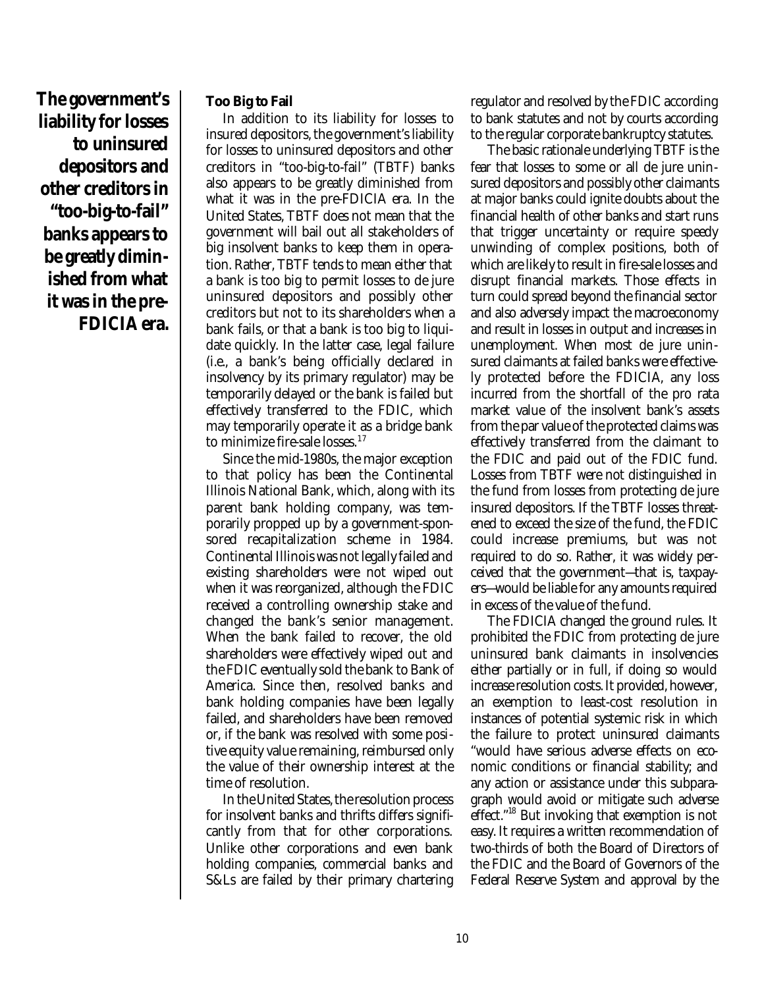**The government's liability for losses to uninsured depositors and other creditors in "too-big-to-fail" banks appears to be greatly diminished from what it was in the pre-FDICIA era.**

### **Too Big to Fail**

In addition to its liability for losses to insured depositors, the government's liability for losses to uninsured depositors and other creditors in "too-big-to-fail" (TBTF) banks also appears to be greatly diminished from what it was in the pre-FDICIA era. In the United States, TBTF does not mean that the government will bail out all stakeholders of big insolvent banks to keep them in operation. Rather, TBTF tends to mean either that a bank is too big to permit losses to de jure uninsured depositors and possibly other creditors but not to its shareholders when a bank fails, or that a bank is too big to liquidate quickly. In the latter case, legal failure (i.e., a bank's being officially declared in insolvency by its primary regulator) may be temporarily delayed or the bank is failed but effectively transferred to the FDIC, which may temporarily operate it as a bridge bank to minimize fire-sale losses.<sup>17</sup>

Since the mid-1980s, the major exception to that policy has been the Continental Illinois National Bank, which, along with its parent bank holding company, was temporarily propped up by a government-sponsored recapitalization scheme in 1984. Continental Illinois was not legally failed and existing shareholders were not wiped out when it was reorganized, although the FDIC received a controlling ownership stake and changed the bank's senior management. When the bank failed to recover, the old shareholders were effectively wiped out and the FDIC eventually sold the bank to Bank of America. Since then, resolved banks and bank holding companies have been legally failed, and shareholders have been removed or, if the bank was resolved with some positive equity value remaining, reimbursed only the value of their ownership interest at the time of resolution.

In the United States, the resolution process for insolvent banks and thrifts differs significantly from that for other corporations. Unlike other corporations and even bank holding companies, commercial banks and S&Ls are failed by their primary chartering regulator and resolved by the FDIC according to bank statutes and not by courts according to the regular corporate bankruptcy statutes.

The basic rationale underlying TBTF is the fear that losses to some or all de jure uninsured depositors and possibly other claimants at major banks could ignite doubts about the financial health of other banks and start runs that trigger uncertainty or require speedy unwinding of complex positions, both of which are likely to result in fire-sale losses and disrupt financial markets. Those effects in turn could spread beyond the financial sector and also adversely impact the macroeconomy and result in losses in output and increases in unemployment. When most de jure uninsured claimants at failed banks were effectively protected before the FDICIA, any loss incurred from the shortfall of the pro rata market value of the insolvent bank's assets from the par value of the protected claims was effectively transferred from the claimant to the FDIC and paid out of the FDIC fund. Losses from TBTF were not distinguished in the fund from losses from protecting de jure insured depositors. If the TBTF losses threatened to exceed the size of the fund, the FDIC could increase premiums, but was not required to do so. Rather, it was widely perceived that the government—that is, taxpayers—would be liable for any amounts required in excess of the value of the fund.

The FDICIA changed the ground rules. It prohibited the FDIC from protecting de jure uninsured bank claimants in insolvencies either partially or in full, if doing so would increase resolution costs. It provided, however, an exemption to least-cost resolution in instances of potential systemic risk in which the failure to protect uninsured claimants "would have serious adverse effects on economic conditions or financial stability; and any action or assistance under this subparagraph would avoid or mitigate such adverse effect."<sup>18</sup> But invoking that exemption is not easy. It requires a written recommendation of two-thirds of both the Board of Directors of the FDIC and the Board of Governors of the Federal Reserve System and approval by the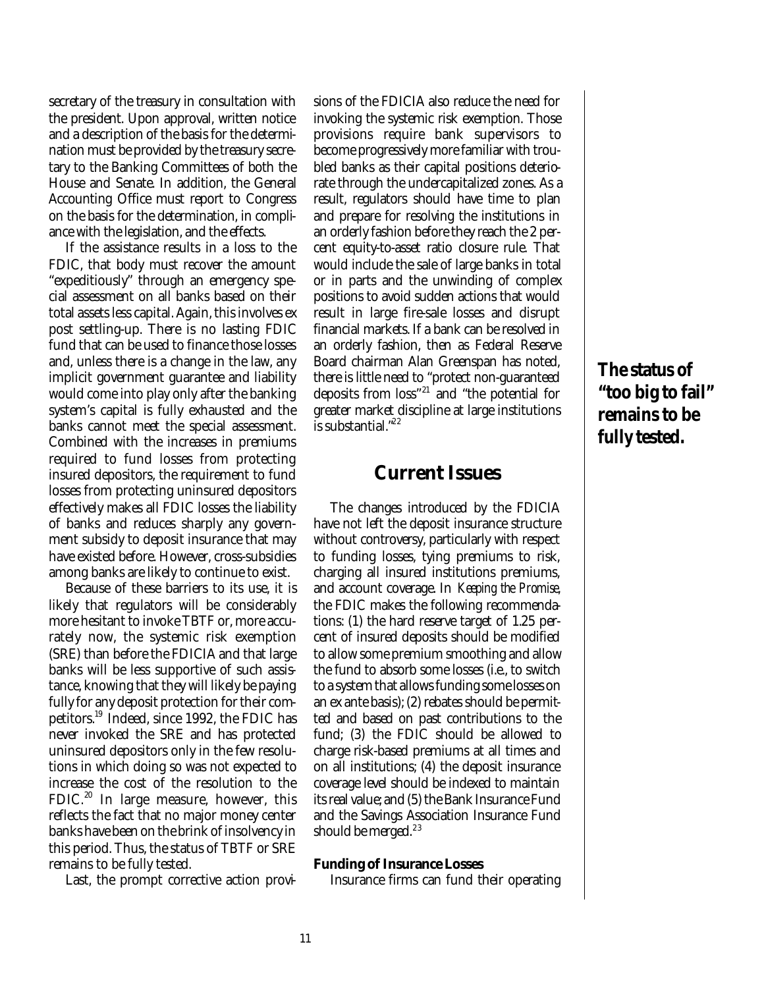secretary of the treasury in consultation with the president. Upon approval, written notice and a description of the basis for the determination must be provided by the treasury secretary to the Banking Committees of both the House and Senate. In addition, the General Accounting Office must report to Congress on the basis for the determination, in compliance with the legislation, and the effects.

If the assistance results in a loss to the FDIC, that body must recover the amount "expeditiously" through an emergency special assessment on all banks based on their total assets less capital. Again, this involves ex post settling-up. There is no lasting FDIC fund that can be used to finance those losses and, unless there is a change in the law, any implicit government guarantee and liability would come into play only after the banking system's capital is fully exhausted and the banks cannot meet the special assessment. Combined with the increases in premiums required to fund losses from protecting insured depositors, the requirement to fund losses from protecting uninsured depositors effectively makes all FDIC losses the liability of banks and reduces sharply any government subsidy to deposit insurance that may have existed before. However, cross-subsidies among banks are likely to continue to exist.

Because of these barriers to its use, it is likely that regulators will be considerably more hesitant to invoke TBTF or, more accurately now, the systemic risk exemption (SRE) than before the FDICIA and that large banks will be less supportive of such assistance, knowing that they will likely be paying fully for any deposit protection for their competitors.<sup>19</sup> Indeed, since 1992, the FDIC has never invoked the SRE and has protected uninsured depositors only in the few resolutions in which doing so was not expected to increase the cost of the resolution to the FDIC.<sup>20</sup> In large measure, however, this reflects the fact that no major money center banks have been on the brink of insolvency in this period. Thus, the status of TBTF or SRE remains to be fully tested.

Last, the prompt corrective action provi-

sions of the FDICIA also reduce the need for invoking the systemic risk exemption. Those provisions require bank supervisors to become progressively more familiar with troubled banks as their capital positions deteriorate through the undercapitalized zones. As a result, regulators should have time to plan and prepare for resolving the institutions in an orderly fashion before they reach the 2 percent equity-to-asset ratio closure rule. That would include the sale of large banks in total or in parts and the unwinding of complex positions to avoid sudden actions that would result in large fire-sale losses and disrupt financial markets. If a bank can be resolved in an orderly fashion, then as Federal Reserve Board chairman Alan Greenspan has noted, there is little need to "protect non-guaranteed deposits from loss"<sup>21</sup> and "the potential for greater market discipline at large institutions is substantial. $"^{22}$ 

### **Current Issues**

The changes introduced by the FDICIA have not left the deposit insurance structure without controversy, particularly with respect to funding losses, tying premiums to risk, charging all insured institutions premiums, and account coverage. In *Keeping the Promise,* the FDIC makes the following recommendations: (1) the hard reserve target of 1.25 percent of insured deposits should be modified to allow some premium smoothing and allow the fund to absorb some losses (i.e., to switch to a system that allows funding some losses on an ex ante basis); (2) rebates should be permitted and based on past contributions to the fund; (3) the FDIC should be allowed to charge risk-based premiums at all times and on all institutions; (4) the deposit insurance coverage level should be indexed to maintain its real value; and (5) the Bank Insurance Fund and the Savings Association Insurance Fund should be merged.<sup>23</sup>

#### **Funding of Insurance Losses**

Insurance firms can fund their operating

**The status of "too big to fail" remains to be fully tested.**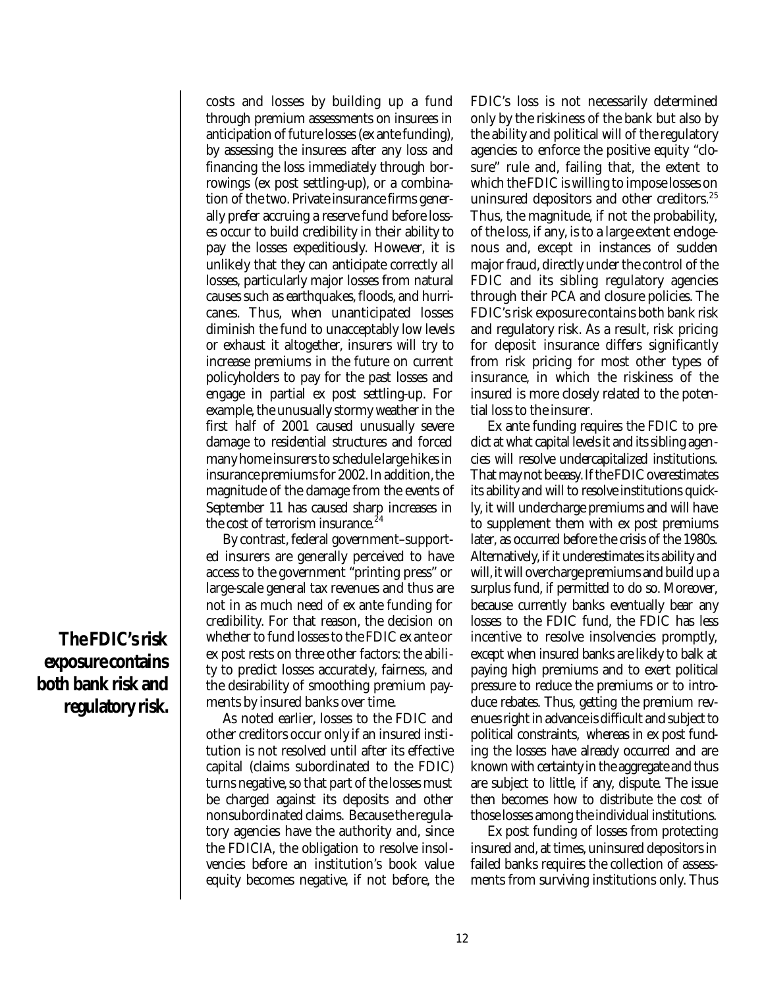costs and losses by building up a fund through premium assessments on insurees in anticipation of future losses (ex ante funding), by assessing the insurees after any loss and financing the loss immediately through borrowings (ex post settling-up), or a combination of the two. Private insurance firms generally prefer accruing a reserve fund before losses occur to build credibility in their ability to pay the losses expeditiously. However, it is unlikely that they can anticipate correctly all losses, particularly major losses from natural causes such as earthquakes, floods, and hurricanes. Thus, when unanticipated losses diminish the fund to unacceptably low levels or exhaust it altogether, insurers will try to increase premiums in the future on current policyholders to pay for the past losses and engage in partial ex post settling-up. For example, the unusually stormy weather in the first half of 2001 caused unusually severe damage to residential structures and forced many home insurers to schedule large hikes in insurance premiums for 2002. In addition, the magnitude of the damage from the events of September 11 has caused sharp increases in the cost of terrorism insurance.<sup>2</sup>

By contrast, federal government–supported insurers are generally perceived to have access to the government "printing press" or large-scale general tax revenues and thus are not in as much need of ex ante funding for credibility. For that reason, the decision on whether to fund losses to the FDIC ex ante or ex post rests on three other factors: the ability to predict losses accurately, fairness, and the desirability of smoothing premium payments by insured banks over time.

As noted earlier, losses to the FDIC and other creditors occur only if an insured institution is not resolved until after its effective capital (claims subordinated to the FDIC) turns negative, so that part of the losses must be charged against its deposits and other nonsubordinated claims. Because the regulatory agencies have the authority and, since the FDICIA, the obligation to resolve insolvencies before an institution's book value equity becomes negative, if not before, the FDIC's loss is not necessarily determined only by the riskiness of the bank but also by the ability and political will of the regulatory agencies to enforce the positive equity "closure" rule and, failing that, the extent to which the FDIC is willing to impose losses on uninsured depositors and other creditors.<sup>25</sup> Thus, the magnitude, if not the probability, of the loss, if any, is to a large extent endogenous and, except in instances of sudden major fraud, directly under the control of the FDIC and its sibling regulatory agencies through their PCA and closure policies. The FDIC's risk exposure contains both bank risk and regulatory risk. As a result, risk pricing for deposit insurance differs significantly from risk pricing for most other types of insurance, in which the riskiness of the insured is more closely related to the potential loss to the insurer.

Ex ante funding requires the FDIC to predict at what capital levels it and its sibling agencies will resolve undercapitalized institutions. That may not be easy. If the FDIC overestimates its ability and will to resolve institutions quickly, it will undercharge premiums and will have to supplement them with ex post premiums later, as occurred before the crisis of the 1980s. Alternatively, if it underestimates its ability and will, it will overcharge premiums and build up a surplus fund, if permitted to do so. Moreover, because currently banks eventually bear any losses to the FDIC fund, the FDIC has less incentive to resolve insolvencies promptly, except when insured banks are likely to balk at paying high premiums and to exert political pressure to reduce the premiums or to introduce rebates. Thus, getting the premium revenues right in advance is difficult and subject to political constraints, whereas in ex post funding the losses have already occurred and are known with certainty in the aggregate and thus are subject to little, if any, dispute. The issue then becomes how to distribute the cost of those losses among the individual institutions.

Ex post funding of losses from protecting insured and, at times, uninsured depositors in failed banks requires the collection of assessments from surviving institutions only. Thus

**The FDIC's risk exposure contains both bank risk and regulatory risk.**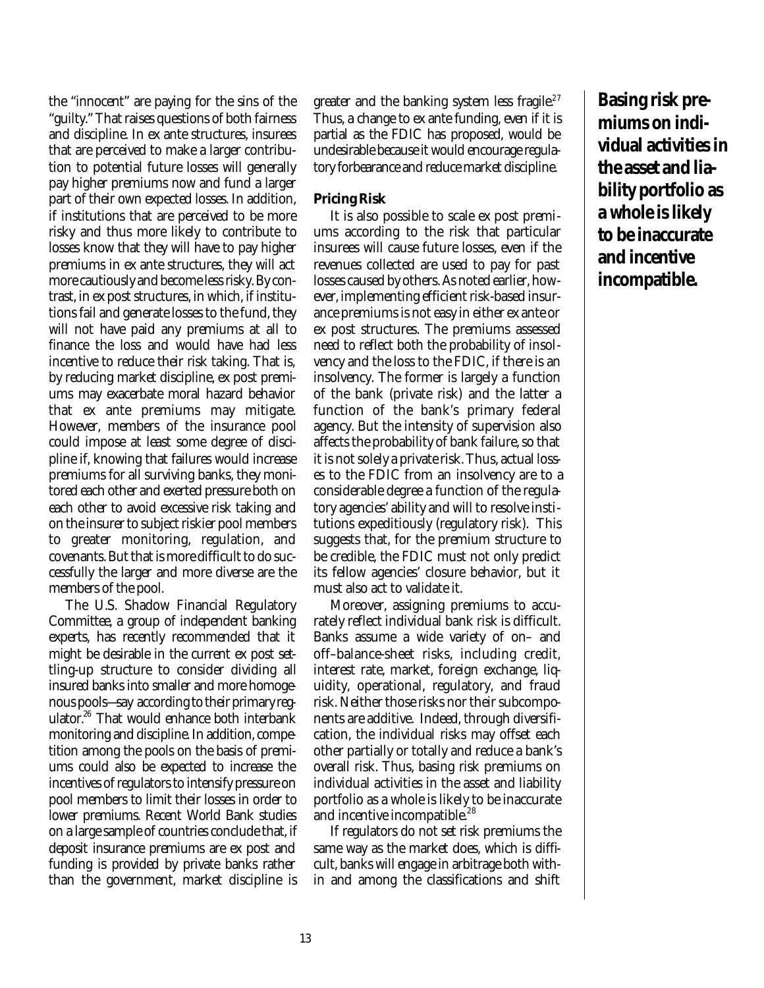the "innocent" are paying for the sins of the "guilty." That raises questions of both fairness and discipline. In ex ante structures, insurees that are perceived to make a larger contribution to potential future losses will generally pay higher premiums now and fund a larger part of their own expected losses. In addition, if institutions that are perceived to be more risky and thus more likely to contribute to losses know that they will have to pay higher premiums in ex ante structures, they will act more cautiously and become less risky. By contrast, in ex post structures, in which, if institutions fail and generate losses to the fund, they will not have paid any premiums at all to finance the loss and would have had less incentive to reduce their risk taking. That is, by reducing market discipline, ex post premiums may exacerbate moral hazard behavior that ex ante premiums may mitigate. However, members of the insurance pool could impose at least some degree of discipline if, knowing that failures would increase premiums for all surviving banks, they monitored each other and exerted pressure both on each other to avoid excessive risk taking and on the insurer to subject riskier pool members to greater monitoring, regulation, and covenants. But that is more difficult to do successfully the larger and more diverse are the members of the pool.

The U.S. Shadow Financial Regulatory Committee, a group of independent banking experts, has recently recommended that it might be desirable in the current ex post settling-up structure to consider dividing all insured banks into smaller and more homogenous pools—say according to their primary regulator.<sup>26</sup> That would enhance both interbank monitoring and discipline. In addition, competition among the pools on the basis of premiums could also be expected to increase the incentives of regulators to intensify pressure on pool members to limit their losses in order to lower premiums. Recent World Bank studies on a large sample of countries conclude that, if deposit insurance premiums are ex post and funding is provided by private banks rather than the government, market discipline is

greater and the banking system less fragile.<sup>27</sup> Thus, a change to ex ante funding, even if it is partial as the FDIC has proposed, would be undesirable because it would encourage regulatory forbearance and reduce market discipline.

#### **Pricing Risk**

It is also possible to scale ex post premiums according to the risk that particular insurees will cause future losses, even if the revenues collected are used to pay for past losses caused by others. As noted earlier, however, implementing efficient risk-based insurance premiums is not easy in either ex ante or ex post structures. The premiums assessed need to reflect both the probability of insolvency and the loss to the FDIC, if there is an insolvency. The former is largely a function of the bank (private risk) and the latter a function of the bank's primary federal agency. But the intensity of supervision also affects the probability of bank failure, so that it is not solely a private risk. Thus, actual losses to the FDIC from an insolvency are to a considerable degree a function of the regulatory agencies' ability and will to resolve institutions expeditiously (regulatory risk). This suggests that, for the premium structure to be credible, the FDIC must not only predict its fellow agencies' closure behavior, but it must also act to validate it.

Moreover, assigning premiums to accurately reflect individual bank risk is difficult. Banks assume a wide variety of on– and off–balance-sheet risks, including credit, interest rate, market, foreign exchange, liquidity, operational, regulatory, and fraud risk. Neither those risks nor their subcomponents are additive. Indeed, through diversification, the individual risks may offset each other partially or totally and reduce a bank's overall risk. Thus, basing risk premiums on individual activities in the asset and liability portfolio as a whole is likely to be inaccurate and incentive incompatible.<sup>28</sup>

If regulators do not set risk premiums the same way as the market does, which is difficult, banks will engage in arbitrage both within and among the classifications and shift **Basing risk premiums on individual activities in the asset and liability portfolio as a whole is likely to be inaccurate and incentive incompatible.**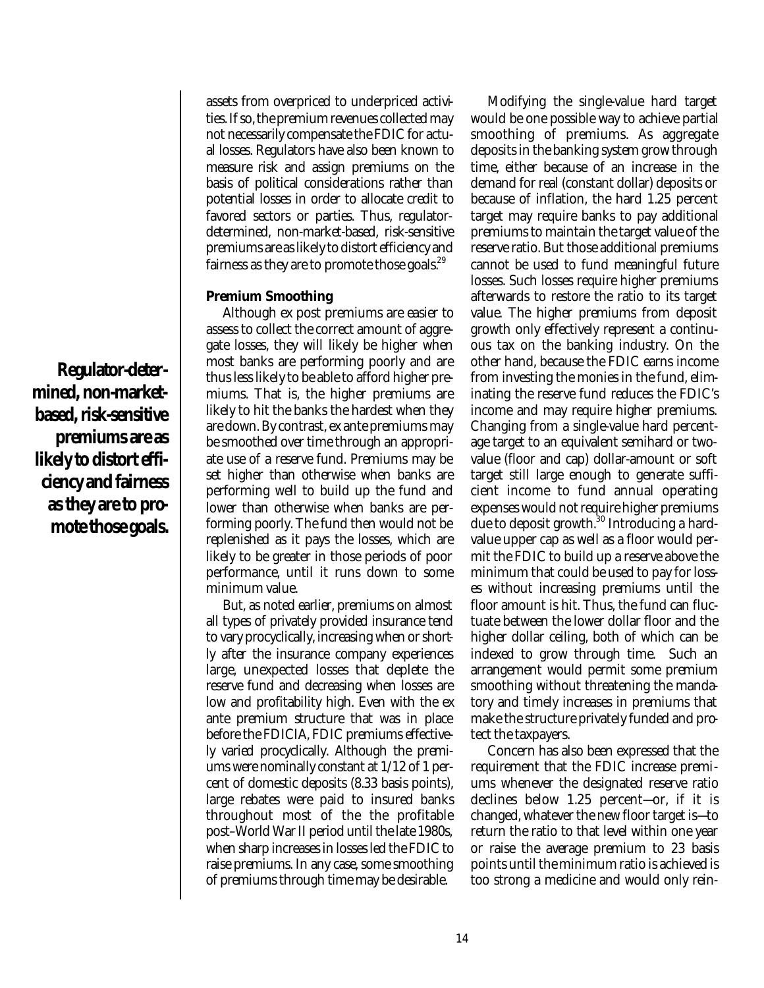assets from overpriced to underpriced activities. If so, the premium revenues collected may not necessarily compensate the FDIC for actual losses. Regulators have also been known to measure risk and assign premiums on the basis of political considerations rather than potential losses in order to allocate credit to favored sectors or parties. Thus, regulatordetermined, non-market-based, risk-sensitive premiums are as likely to distort efficiency and fairness as they are to promote those goals.<sup>29</sup>

#### **Premium Smoothing**

Although ex post premiums are easier to assess to collect the correct amount of aggregate losses, they will likely be higher when most banks are performing poorly and are thus less likely to be able to afford higher premiums. That is, the higher premiums are likely to hit the banks the hardest when they are down. By contrast, ex ante premiums may be smoothed over time through an appropriate use of a reserve fund. Premiums may be set higher than otherwise when banks are performing well to build up the fund and lower than otherwise when banks are performing poorly. The fund then would not be replenished as it pays the losses, which are likely to be greater in those periods of poor performance, until it runs down to some minimum value.

But, as noted earlier, premiums on almost all types of privately provided insurance tend to vary procyclically, increasing when or shortly after the insurance company experiences large, unexpected losses that deplete the reserve fund and decreasing when losses are low and profitability high. Even with the ex ante premium structure that was in place before the FDICIA, FDIC premiums effectively varied procyclically. Although the premiums were nominally constant at 1/12 of 1 percent of domestic deposits (8.33 basis points), large rebates were paid to insured banks throughout most of the the profitable post–World War II period until the late 1980s, when sharp increases in losses led the FDIC to raise premiums. In any case, some smoothing of premiums through time may be desirable.

Modifying the single-value hard target would be one possible way to achieve partial smoothing of premiums. As aggregate deposits in the banking system grow through time, either because of an increase in the demand for real (constant dollar) deposits or because of inflation, the hard 1.25 percent target may require banks to pay additional premiums to maintain the target value of the reserve ratio. But those additional premiums cannot be used to fund meaningful future losses. Such losses require higher premiums afterwards to restore the ratio to its target value. The higher premiums from deposit growth only effectively represent a continuous tax on the banking industry. On the other hand, because the FDIC earns income from investing the monies in the fund, eliminating the reserve fund reduces the FDIC's income and may require higher premiums. Changing from a single-value hard percentage target to an equivalent semihard or twovalue (floor and cap) dollar-amount or soft target still large enough to generate sufficient income to fund annual operating expenses would not require higher premiums due to deposit growth.<sup>30</sup> Introducing a hardvalue upper cap as well as a floor would permit the FDIC to build up a reserve above the minimum that could be used to pay for losses without increasing premiums until the floor amount is hit. Thus, the fund can fluctuate between the lower dollar floor and the higher dollar ceiling, both of which can be indexed to grow through time. Such an arrangement would permit some premium smoothing without threatening the mandatory and timely increases in premiums that make the structure privately funded and protect the taxpayers.

Concern has also been expressed that the requirement that the FDIC increase premiums whenever the designated reserve ratio declines below 1.25 percent—or, if it is changed, whatever the new floor target is—to return the ratio to that level within one year or raise the average premium to 23 basis points until the minimum ratio is achieved is too strong a medicine and would only rein-

**Regulator-determined, non-marketbased, risk-sensitive premiums are as likely to distort efficiency and fairness as they are to promote those goals.**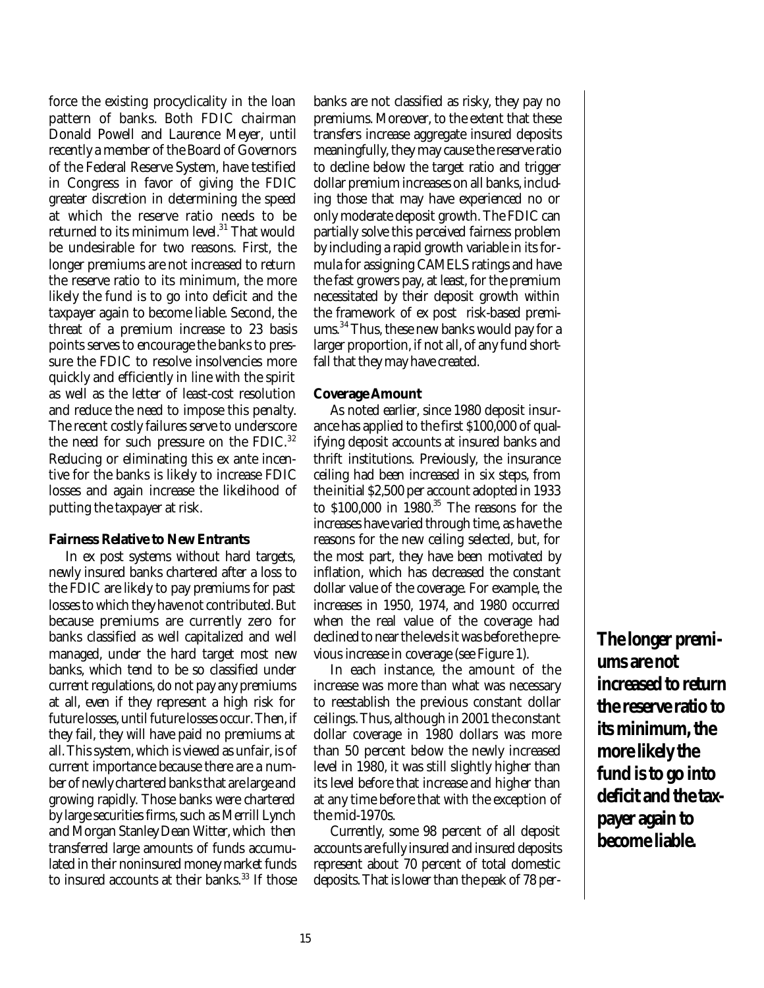force the existing procyclicality in the loan pattern of banks. Both FDIC chairman Donald Powell and Laurence Meyer, until recently a member of the Board of Governors of the Federal Reserve System, have testified in Congress in favor of giving the FDIC greater discretion in determining the speed at which the reserve ratio needs to be returned to its minimum level.<sup>31</sup> That would be undesirable for two reasons. First, the longer premiums are not increased to return the reserve ratio to its minimum, the more likely the fund is to go into deficit and the taxpayer again to become liable. Second, the threat of a premium increase to 23 basis points serves to encourage the banks to pressure the FDIC to resolve insolvencies more quickly and efficiently in line with the spirit as well as the letter of least-cost resolution and reduce the need to impose this penalty. The recent costly failures serve to underscore the need for such pressure on the FDIC.<sup>32</sup> Reducing or eliminating this ex ante incentive for the banks is likely to increase FDIC losses and again increase the likelihood of putting the taxpayer at risk.

#### **Fairness Relative to New Entrants**

In ex post systems without hard targets, newly insured banks chartered after a loss to the FDIC are likely to pay premiums for past losses to which they have not contributed. But because premiums are currently zero for banks classified as well capitalized and well managed, under the hard target most new banks, which tend to be so classified under current regulations, do not pay any premiums at all, even if they represent a high risk for future losses, until future losses occur. Then, if they fail, they will have paid no premiums at all. This system, which is viewed as unfair, is of current importance because there are a number of newly chartered banks that are large and growing rapidly. Those banks were chartered by large securities firms, such as Merrill Lynch and Morgan Stanley Dean Witter, which then transferred large amounts of funds accumulated in their noninsured money market funds to insured accounts at their banks.<sup>33</sup> If those

banks are not classified as risky, they pay no premiums. Moreover, to the extent that these transfers increase aggregate insured deposits meaningfully, they may cause the reserve ratio to decline below the target ratio and trigger dollar premium increases on all banks, including those that may have experienced no or only moderate deposit growth. The FDIC can partially solve this perceived fairness problem by including a rapid growth variable in its formula for assigning CAMELS ratings and have the fast growers pay, at least, for the premium necessitated by their deposit growth within the framework of ex post risk-based premiums.<sup>34</sup> Thus, these new banks would pay for a larger proportion, if not all, of any fund shortfall that they may have created.

#### **Coverage Amount**

As noted earlier, since 1980 deposit insurance has applied to the first \$100,000 of qualifying deposit accounts at insured banks and thrift institutions. Previously, the insurance ceiling had been increased in six steps, from the initial \$2,500 per account adopted in 1933 to  $$100,000$  in  $1980$ .<sup>35</sup> The reasons for the increases have varied through time, as have the reasons for the new ceiling selected, but, for the most part, they have been motivated by inflation, which has decreased the constant dollar value of the coverage. For example, the increases in 1950, 1974, and 1980 occurred when the real value of the coverage had declined to near the levels it was before the previous increase in coverage (see Figure 1).

In each instance, the amount of the increase was more than what was necessary to reestablish the previous constant dollar ceilings. Thus, although in 2001 the constant dollar coverage in 1980 dollars was more than 50 percent below the newly increased level in 1980, it was still slightly higher than its level before that increase and higher than at any time before that with the exception of the mid-1970s.

Currently, some 98 percent of all deposit accounts are fully insured and insured deposits represent about 70 percent of total domestic deposits. That is lower than the peak of 78 per**The longer premiums are not increased to return the reserve ratio to its minimum, the more likely the fund is to go into deficit and the taxpayer again to become liable.**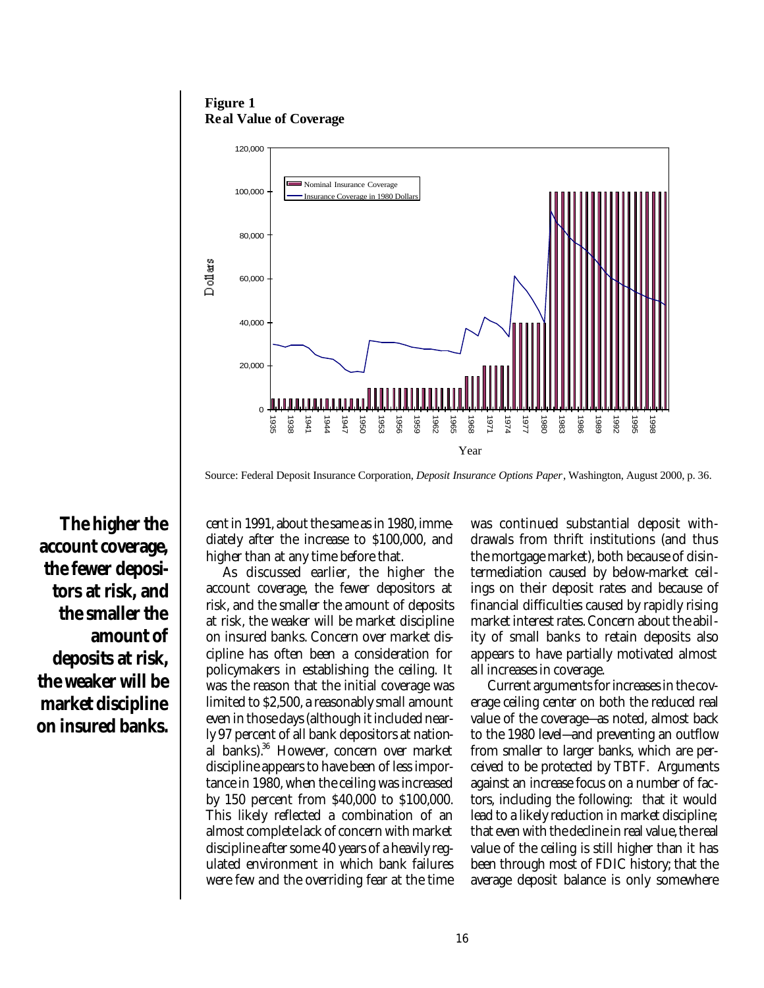**Figure 1 Real Value of Coverage**



Source: Federal Deposit Insurance Corporation, *Deposit Insurance Options Paper*, Washington, August 2000, p. 36.

**The higher the account coverage, the fewer depositors at risk, and the smaller the amount of deposits at risk, the weaker will be market discipline on insured banks.**

cent in 1991, about the same as in 1980, immediately after the increase to \$100,000, and higher than at any time before that.

As discussed earlier, the higher the account coverage, the fewer depositors at risk, and the smaller the amount of deposits at risk, the weaker will be market discipline on insured banks. Concern over market discipline has often been a consideration for policymakers in establishing the ceiling. It was the reason that the initial coverage was limited to \$2,500, a reasonably small amount even in those days (although it included nearly 97 percent of all bank depositors at national banks).<sup>36</sup> However, concern over market discipline appears to have been of less importance in 1980, when the ceiling was increased by 150 percent from \$40,000 to \$100,000. This likely reflected a combination of an almost complete lack of concern with market discipline after some 40 years of a heavily regulated environment in which bank failures were few and the overriding fear at the time

was continued substantial deposit withdrawals from thrift institutions (and thus the mortgage market), both because of disintermediation caused by below-market ceilings on their deposit rates and because of financial difficulties caused by rapidly rising market interest rates. Concern about the ability of small banks to retain deposits also appears to have partially motivated almost all increases in coverage.

Current arguments for increases in the coverage ceiling center on both the reduced real value of the coverage—as noted, almost back to the 1980 level—and preventing an outflow from smaller to larger banks, which are perceived to be protected by TBTF. Arguments against an increase focus on a number of factors, including the following: that it would lead to a likely reduction in market discipline; that even with the decline in real value, the real value of the ceiling is still higher than it has been through most of FDIC history; that the average deposit balance is only somewhere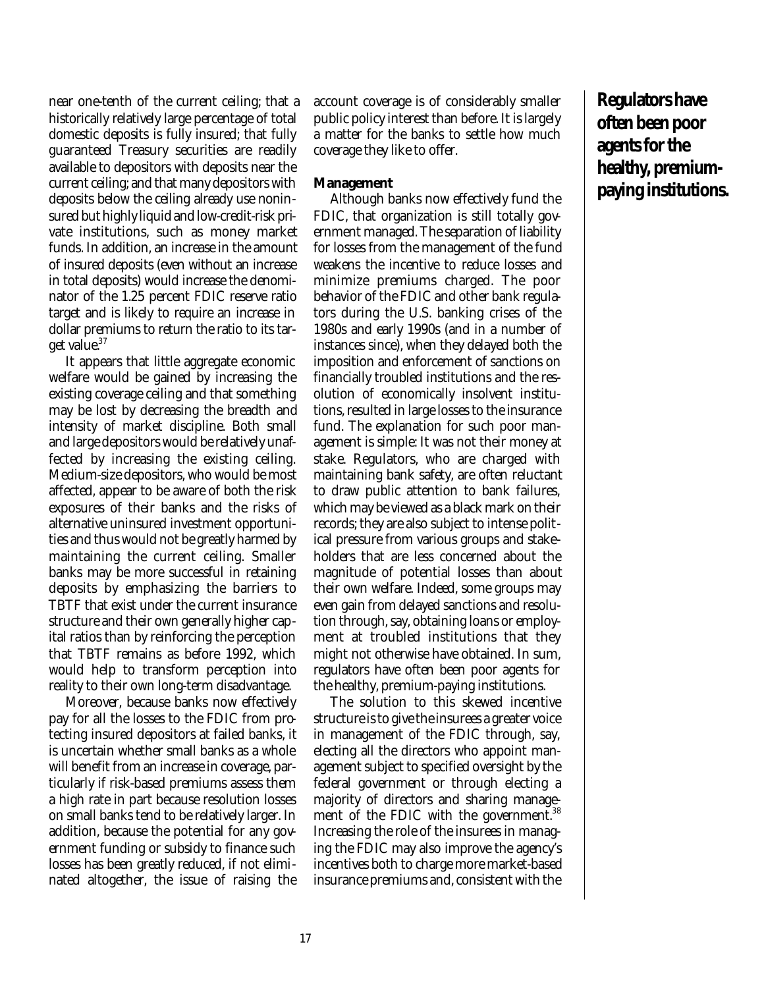near one-tenth of the current ceiling; that a historically relatively large percentage of total domestic deposits is fully insured; that fully guaranteed Treasury securities are readily available to depositors with deposits near the current ceiling; and that many depositors with deposits below the ceiling already use noninsured but highly liquid and low-credit-risk private institutions, such as money market funds. In addition, an increase in the amount of insured deposits (even without an increase in total deposits) would increase the denominator of the 1.25 percent FDIC reserve ratio target and is likely to require an increase in dollar premiums to return the ratio to its target value.<sup>37</sup>

It appears that little aggregate economic welfare would be gained by increasing the existing coverage ceiling and that something may be lost by decreasing the breadth and intensity of market discipline. Both small and large depositors would be relatively unaffected by increasing the existing ceiling. Medium-size depositors, who would be most affected, appear to be aware of both the risk exposures of their banks and the risks of alternative uninsured investment opportunities and thus would not be greatly harmed by maintaining the current ceiling. Smaller banks may be more successful in retaining deposits by emphasizing the barriers to TBTF that exist under the current insurance structure and their own generally higher capital ratios than by reinforcing the perception that TBTF remains as before 1992, which would help to transform perception into reality to their own long-term disadvantage.

Moreover, because banks now effectively pay for all the losses to the FDIC from protecting insured depositors at failed banks, it is uncertain whether small banks as a whole will benefit from an increase in coverage, particularly if risk-based premiums assess them a high rate in part because resolution losses on small banks tend to be relatively larger. In addition, because the potential for any government funding or subsidy to finance such losses has been greatly reduced, if not eliminated altogether, the issue of raising the account coverage is of considerably smaller public policy interest than before. It is largely a matter for the banks to settle how much coverage they like to offer.

#### **Management**

Although banks now effectively fund the FDIC, that organization is still totally government managed. The separation of liability for losses from the management of the fund weakens the incentive to reduce losses and minimize premiums charged. The poor behavior of the FDIC and other bank regulators during the U.S. banking crises of the 1980s and early 1990s (and in a number of instances since), when they delayed both the imposition and enforcement of sanctions on financially troubled institutions and the resolution of economically insolvent institutions, resulted in large losses to the insurance fund. The explanation for such poor management is simple: It was not their money at stake. Regulators, who are charged with maintaining bank safety, are often reluctant to draw public attention to bank failures, which may be viewed as a black mark on their records; they are also subject to intense political pressure from various groups and stakeholders that are less concerned about the magnitude of potential losses than about their own welfare. Indeed, some groups may even gain from delayed sanctions and resolution through, say, obtaining loans or employment at troubled institutions that they might not otherwise have obtained. In sum, regulators have often been poor agents for the healthy, premium-paying institutions.

The solution to this skewed incentive structure is to give the insurees a greater voice in management of the FDIC through, say, electing all the directors who appoint management subject to specified oversight by the federal government or through electing a majority of directors and sharing management of the FDIC with the government.<sup>38</sup> Increasing the role of the insurees in managing the FDIC may also improve the agency's incentives both to charge more market-based insurance premiums and, consistent with the

**Regulators have often been poor agents for the healthy, premiumpaying institutions.**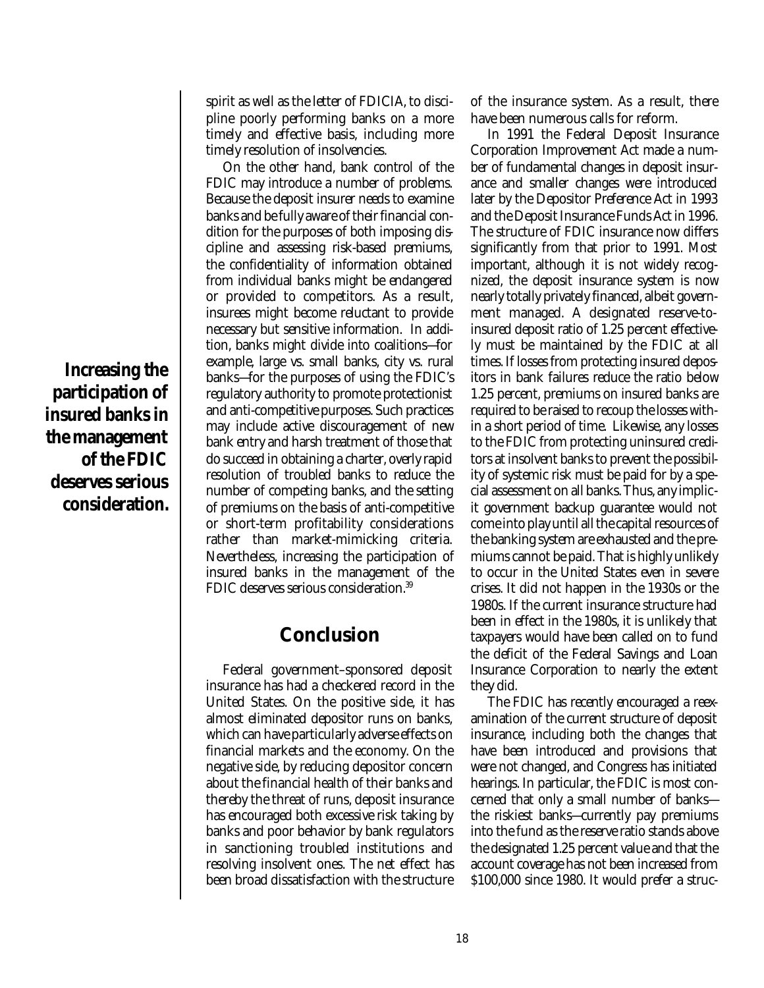**Increasing the participation of insured banks in the management of the FDIC deserves serious consideration.**

spirit as well as the letter of FDICIA, to discipline poorly performing banks on a more timely and effective basis, including more timely resolution of insolvencies.

On the other hand, bank control of the FDIC may introduce a number of problems. Because the deposit insurer needs to examine banks and be fully aware of their financial condition for the purposes of both imposing discipline and assessing risk-based premiums, the confidentiality of information obtained from individual banks might be endangered or provided to competitors. As a result, insurees might become reluctant to provide necessary but sensitive information. In addition, banks might divide into coalitions—for example, large vs. small banks, city vs. rural banks—for the purposes of using the FDIC's regulatory authority to promote protectionist and anti-competitive purposes. Such practices may include active discouragement of new bank entry and harsh treatment of those that do succeed in obtaining a charter, overly rapid resolution of troubled banks to reduce the number of competing banks, and the setting of premiums on the basis of anti-competitive or short-term profitability considerations rather than market-mimicking criteria. Nevertheless, increasing the participation of insured banks in the management of the FDIC deserves serious consideration.<sup>39</sup>

### **Conclusion**

Federal government–sponsored deposit insurance has had a checkered record in the United States. On the positive side, it has almost eliminated depositor runs on banks, which can have particularly adverse effects on financial markets and the economy. On the negative side, by reducing depositor concern about the financial health of their banks and thereby the threat of runs, deposit insurance has encouraged both excessive risk taking by banks and poor behavior by bank regulators in sanctioning troubled institutions and resolving insolvent ones. The net effect has been broad dissatisfaction with the structure

of the insurance system. As a result, there have been numerous calls for reform.

In 1991 the Federal Deposit Insurance Corporation Improvement Act made a number of fundamental changes in deposit insurance and smaller changes were introduced later by the Depositor Preference Act in 1993 and the Deposit Insurance Funds Act in 1996. The structure of FDIC insurance now differs significantly from that prior to 1991. Most important, although it is not widely recognized, the deposit insurance system is now nearly totally privately financed, albeit government managed. A designated reserve-toinsured deposit ratio of 1.25 percent effectively must be maintained by the FDIC at all times. If losses from protecting insured depositors in bank failures reduce the ratio below 1.25 percent, premiums on insured banks are required to be raised to recoup the losses within a short period of time. Likewise, any losses to the FDIC from protecting uninsured creditors at insolvent banks to prevent the possibility of systemic risk must be paid for by a special assessment on all banks. Thus, any implicit government backup guarantee would not come into play until all the capital resources of the banking system are exhausted and the premiums cannot be paid. That is highly unlikely to occur in the United States even in severe crises. It did not happen in the 1930s or the 1980s. If the current insurance structure had been in effect in the 1980s, it is unlikely that taxpayers would have been called on to fund the deficit of the Federal Savings and Loan Insurance Corporation to nearly the extent they did.

The FDIC has recently encouraged a reexamination of the current structure of deposit insurance, including both the changes that have been introduced and provisions that were not changed, and Congress has initiated hearings. In particular, the FDIC is most concerned that only a small number of banks the riskiest banks—currently pay premiums into the fund as the reserve ratio stands above the designated 1.25 percent value and that the account coverage has not been increased from \$100,000 since 1980. It would prefer a struc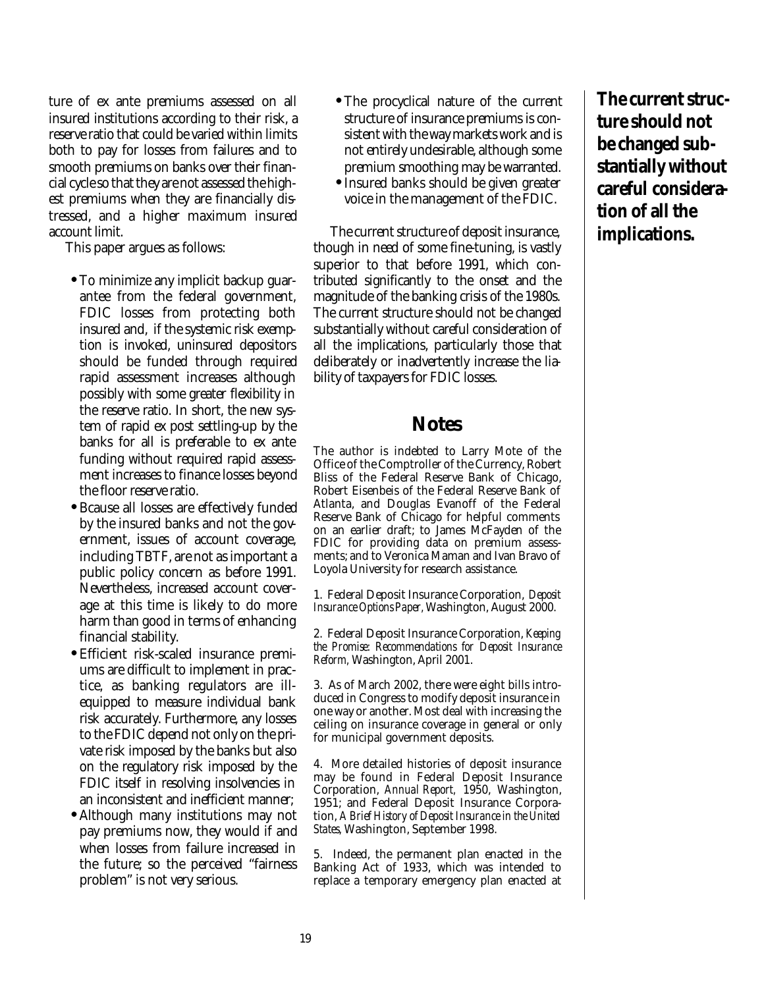ture of ex ante premiums assessed on all insured institutions according to their risk, a reserve ratio that could be varied within limits both to pay for losses from failures and to smooth premiums on banks over their financial cycle so that they are not assessed the highest premiums when they are financially distressed, and a higher maximum insured account limit.

This paper argues as follows:

- **•**To minimize any implicit backup guarantee from the federal government, FDIC losses from protecting both insured and, if the systemic risk exemption is invoked, uninsured depositors should be funded through required rapid assessment increases although possibly with some greater flexibility in the reserve ratio. In short, the new system of rapid ex post settling-up by the banks for all is preferable to ex ante funding without required rapid assessment increases to finance losses beyond the floor reserve ratio.
- **•** Bcause all losses are effectively funded by the insured banks and not the government, issues of account coverage, including TBTF, are not as important a public policy concern as before 1991. Nevertheless, increased account coverage at this time is likely to do more harm than good in terms of enhancing financial stability.
- **•** Efficient risk-scaled insurance premiums are difficult to implement in practice, as banking regulators are illequipped to measure individual bank risk accurately. Furthermore, any losses to the FDIC depend not only on the private risk imposed by the banks but also on the regulatory risk imposed by the FDIC itself in resolving insolvencies in an inconsistent and inefficient manner;
- **•**Although many institutions may not pay premiums now, they would if and when losses from failure increased in the future; so the perceived "fairness problem" is not very serious.
- **•**The procyclical nature of the current structure of insurance premiums is consistent with the way markets work and is not entirely undesirable, although some premium smoothing may be warranted.
- **•**Insured banks should be given greater voice in the management of the FDIC.

The current structure of deposit insurance, though in need of some fine-tuning, is vastly superior to that before 1991, which contributed significantly to the onset and the magnitude of the banking crisis of the 1980s. The current structure should not be changed substantially without careful consideration of all the implications, particularly those that deliberately or inadvertently increase the liability of taxpayers for FDIC losses.

### **Notes**

The author is indebted to Larry Mote of the Office of the Comptroller of the Currency, Robert Bliss of the Federal Reserve Bank of Chicago, Robert Eisenbeis of the Federal Reserve Bank of Atlanta, and Douglas Evanoff of the Federal Reserve Bank of Chicago for helpful comments on an earlier draft; to James McFayden of the FDIC for providing data on premium assessments; and to Veronica Maman and Ivan Bravo of Loyola University for research assistance.

1. Federal Deposit Insurance Corporation, *Deposit Insurance Options Paper,* Washington, August 2000.

2. Federal Deposit Insurance Corporation, *Keeping the Promise: Recommendations for Deposit Insurance Reform,* Washington, April 2001.

3. As of March 2002, there were eight bills introduced in Congress to modify deposit insurance in one way or another. Most deal with increasing the ceiling on insurance coverage in general or only for municipal government deposits.

4. More detailed histories of deposit insurance may be found in Federal Deposit Insurance Corporation, *Annual Report,* 1950, Washington, 1951; and Federal Deposit Insurance Corporation, *A Brief History of Deposit Insurance in the United States,* Washington, September 1998.

5. Indeed, the permanent plan enacted in the Banking Act of 1933, which was intended to replace a temporary emergency plan enacted at

**The current structure should not be changed substantially without careful consideration of all the implications.**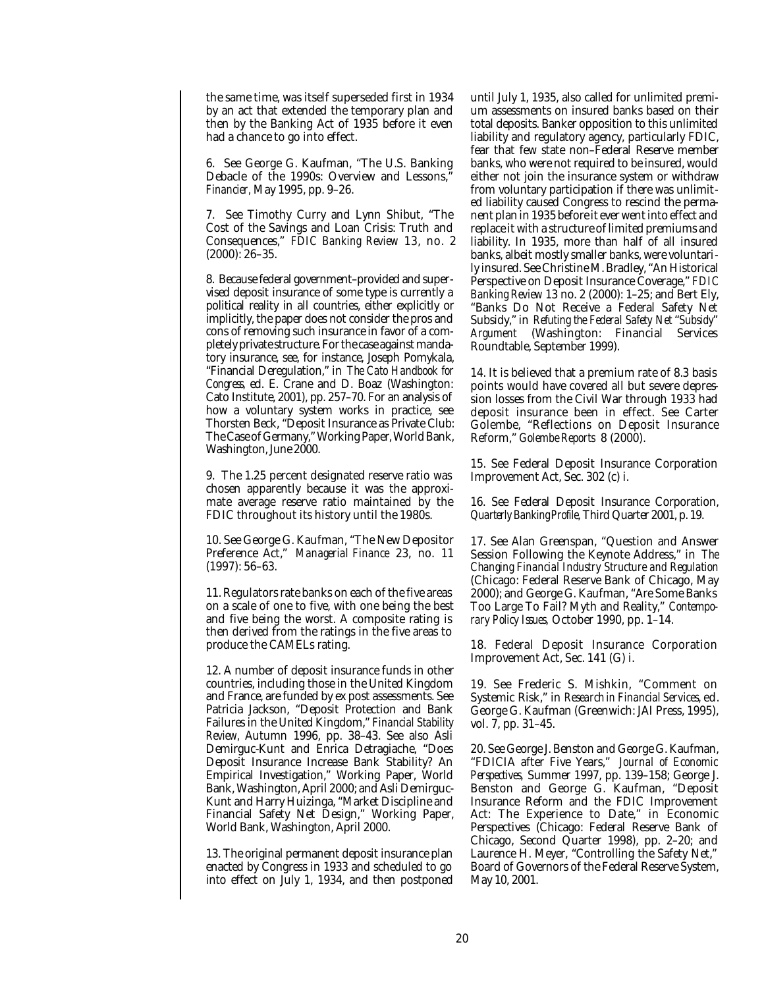the same time, was itself superseded first in 1934 by an act that extended the temporary plan and then by the Banking Act of 1935 before it even had a chance to go into effect.

6. See George G. Kaufman, "The U.S. Banking Debacle of the 1990s: Overview and Lessons, *Financier,* May 1995, pp. 9–26.

7. See Timothy Curry and Lynn Shibut, "The Cost of the Savings and Loan Crisis: Truth and Consequences," *FDIC Banking Review* 13, no. 2 (2000): 26–35.

8. Because federal government–provided and supervised deposit insurance of some type is currently a political reality in all countries, either explicitly or implicitly, the paper does not consider the pros and cons of removing such insurance in favor of a completely private structure. For the case against mandatory insurance, see, for instance, Joseph Pomykala, "Financial Deregulation," in *The Cato Handbook for Congress,* ed. E. Crane and D. Boaz (Washington: Cato Institute, 2001), pp. 257–70. For an analysis of how a voluntary system works in practice, see Thorsten Beck, "Deposit Insurance as Private Club: The Case of Germany," Working Paper, World Bank, Washington, June 2000.

9. The 1.25 percent designated reserve ratio was chosen apparently because it was the approximate average reserve ratio maintained by the FDIC throughout its history until the 1980s.

10. See George G. Kaufman, "The New Depositor Preference Act," *Managerial Finance* 23, no. 11 (1997): 56–63.

11. Regulators rate banks on each of the five areas on a scale of one to five, with one being the best and five being the worst. A composite rating is then derived from the ratings in the five areas to produce the CAMELs rating.

12. A number of deposit insurance funds in other countries, including those in the United Kingdom and France, are funded by ex post assessments. See Patricia Jackson, "Deposit Protection and Bank Failures in the United Kingdom," *Financial Stability Review,* Autumn 1996, pp. 38–43. See also Asli Demirguc-Kunt and Enrica Detragiache, "Does Deposit Insurance Increase Bank Stability? An Empirical Investigation," Working Paper, World Bank, Washington, April 2000; and Asli Demirguc-Kunt and Harry Huizinga, "Market Discipline and Financial Safety Net Design," Working Paper, World Bank, Washington, April 2000.

13. The original permanent deposit insurance plan enacted by Congress in 1933 and scheduled to go into effect on July 1, 1934, and then postponed

until July 1, 1935, also called for unlimited premium assessments on insured banks based on their total deposits. Banker opposition to this unlimited liability and regulatory agency, particularly FDIC, fear that few state non–Federal Reserve member banks, who were not required to be insured, would either not join the insurance system or withdraw from voluntary participation if there was unlimited liability caused Congress to rescind the permanent plan in 1935 before it ever went into effect and replace it with a structure of limited premiums and liability. In 1935, more than half of all insured banks, albeit mostly smaller banks, were voluntarily insured. See Christine M. Bradley, "An Historical Perspective on Deposit Insurance Coverage," *FDIC Banking Review* 13 no. 2 (2000): 1–25; and Bert Ely, "Banks Do Not Receive a Federal Safety Net Subsidy," in *Refuting the Federal Safety Net* "*Subsidy*" *Argument* (Washington: Financial Services Roundtable, September 1999).

14. It is believed that a premium rate of 8.3 basis points would have covered all but severe depression losses from the Civil War through 1933 had deposit insurance been in effect. See Carter Golembe, "Reflections on Deposit Insurance Reform," *Golembe Reports* 8 (2000).

15. See Federal Deposit Insurance Corporation Improvement Act, Sec. 302 (c) i.

16. See Federal Deposit Insurance Corporation, *Quarterly Banking Profile,* Third Quarter 2001, p. 19.

17. See Alan Greenspan, "Question and Answer Session Following the Keynote Address," in *The Changing Financial Industry Structure and Regulation* (Chicago: Federal Reserve Bank of Chicago, May 2000); and George G. Kaufman, "Are Some Banks Too Large To Fail? Myth and Reality," *Contemporary Policy Issues,* October 1990, pp. 1–14.

18. Federal Deposit Insurance Corporation Improvement Act, Sec. 141 (G) i.

19. See Frederic S. Mishkin, "Comment on Systemic Risk," in *Research in Financial Services,* ed. George G. Kaufman (Greenwich: JAI Press, 1995), vol. 7, pp. 31–45.

20. See George J. Benston and George G. Kaufman, "FDICIA after Five Years," *Journal of Economic Perspectives,* Summer 1997, pp. 139–158; George J. Benston and George G. Kaufman, "Deposit Insurance Reform and the FDIC Improvement Act: The Experience to Date," in Economic Perspectives (Chicago: Federal Reserve Bank of Chicago, Second Quarter 1998), pp. 2–20; and Laurence H. Meyer, "Controlling the Safety Net," Board of Governors of the Federal Reserve System, May 10, 2001.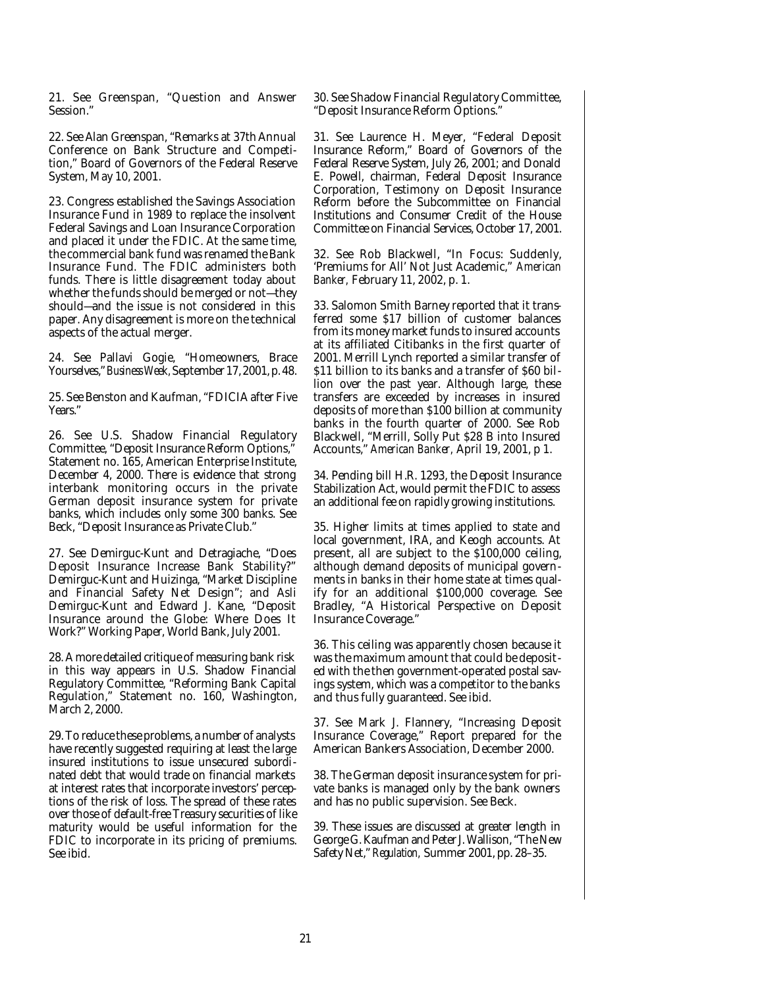21. See Greenspan, "Question and Answer Session."

22. See Alan Greenspan, "Remarks at 37th Annual Conference on Bank Structure and Competition," Board of Governors of the Federal Reserve System, May 10, 2001.

23. Congress established the Savings Association Insurance Fund in 1989 to replace the insolvent Federal Savings and Loan Insurance Corporation and placed it under the FDIC. At the same time, the commercial bank fund was renamed the Bank Insurance Fund. The FDIC administers both funds. There is little disagreement today about whether the funds should be merged or not—they should—and the issue is not considered in this paper. Any disagreement is more on the technical aspects of the actual merger.

24. See Pallavi Gogie, "Homeowners, Brace Yourselves," *Business Week,*September 17, 2001, p. 48.

25. See Benston and Kaufman, "FDICIA after Five Years."

26. See U.S. Shadow Financial Regulatory Committee, "Deposit Insurance Reform Options," Statement no. 165, American Enterprise Institute, December 4, 2000. There is evidence that strong interbank monitoring occurs in the private German deposit insurance system for private banks, which includes only some 300 banks. See Beck, "Deposit Insurance as Private Club."

27. See Demirguc-Kunt and Detragiache, "Does Deposit Insurance Increase Bank Stability?" Demirguc-Kunt and Huizinga, "Market Discipline and Financial Safety Net Design"; and Asli Demirguc-Kunt and Edward J. Kane, "Deposit Insurance around the Globe: Where Does It Work?" Working Paper, World Bank, July 2001.

28. A more detailed critique of measuring bank risk in this way appears in U.S. Shadow Financial Regulatory Committee, "Reforming Bank Capital Regulation," Statement no. 160, Washington, March 2, 2000.

29. To reduce these problems, a number of analysts have recently suggested requiring at least the large insured institutions to issue unsecured subordinated debt that would trade on financial markets at interest rates that incorporate investors' perceptions of the risk of loss. The spread of these rates over those of default-free Treasury securities of like maturity would be useful information for the FDIC to incorporate in its pricing of premiums. See ibid.

30. See Shadow Financial Regulatory Committee, "Deposit Insurance Reform Options."

31. See Laurence H. Meyer, "Federal Deposit Insurance Reform," Board of Governors of the Federal Reserve System, July 26, 2001; and Donald E. Powell, chairman, Federal Deposit Insurance Corporation, Testimony on Deposit Insurance Reform before the Subcommittee on Financial Institutions and Consumer Credit of the House Committee on Financial Services, October 17, 2001.

32. See Rob Blackwell, "In Focus: Suddenly, 'Premiums for All' Not Just Academic," *American Banker,* February 11, 2002, p. 1.

33. Salomon Smith Barney reported that it transferred some \$17 billion of customer balances from its money market funds to insured accounts at its affiliated Citibanks in the first quarter of 2001. Merrill Lynch reported a similar transfer of \$11 billion to its banks and a transfer of \$60 billion over the past year. Although large, these transfers are exceeded by increases in insured deposits of more than \$100 billion at community banks in the fourth quarter of 2000. See Rob Blackwell, "Merrill, Solly Put \$28 B into Insured Accounts," *American Banker,* April 19, 2001, p 1.

34. Pending bill H.R. 1293, the Deposit Insurance Stabilization Act, would permit the FDIC to assess an additional fee on rapidly growing institutions.

35. Higher limits at times applied to state and local government, IRA, and Keogh accounts. At present, all are subject to the \$100,000 ceiling, although demand deposits of municipal governments in banks in their home state at times qualify for an additional \$100,000 coverage. See Bradley, "A Historical Perspective on Deposit Insurance Coverage."

36. This ceiling was apparently chosen because it was the maximum amount that could be deposited with the then government-operated postal savings system, which was a competitor to the banks and thus fully guaranteed. See ibid.

37. See Mark J. Flannery, "Increasing Deposit Insurance Coverage," Report prepared for the American Bankers Association, December 2000.

38. The German deposit insurance system for private banks is managed only by the bank owners and has no public supervision. See Beck.

39. These issues are discussed at greater length in George G. Kaufman and Peter J. Wallison, "The New Safety Net," *Regulation,* Summer 2001, pp. 28–35.